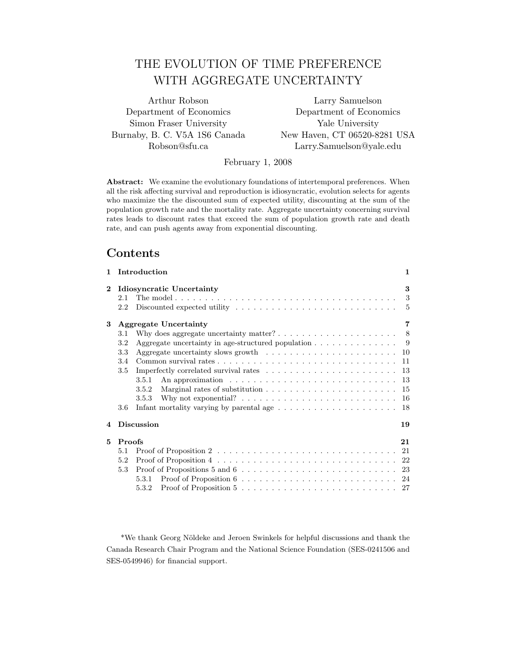# THE EVOLUTION OF TIME PREFERENCE WITH AGGREGATE UNCERTAINTY

Simon Fraser University Yale University

Arthur Robson Larry Samuelson Department of Economics Department of Economics Burnaby, B. C. V5A 1S6 Canada New Haven, CT 06520-8281 USA Robson@sfu.ca Larry.Samuelson@yale.edu

February 1, 2008

Abstract: We examine the evolutionary foundations of intertemporal preferences. When all the risk affecting survival and reproduction is idiosyncratic, evolution selects for agents who maximize the the discounted sum of expected utility, discounting at the sum of the population growth rate and the mortality rate. Aggregate uncertainty concerning survival rates leads to discount rates that exceed the sum of population growth rate and death rate, and can push agents away from exponential discounting.

## Contents

| $\mathbf{1}$ | Introduction                                                                                                                                                                                                                           | $\mathbf{1}$ |
|--------------|----------------------------------------------------------------------------------------------------------------------------------------------------------------------------------------------------------------------------------------|--------------|
| $\bf{2}$     | Idiosyncratic Uncertainty<br>2.1<br>2.2                                                                                                                                                                                                | 3<br>3<br>5  |
| 3            | <b>Aggregate Uncertainty</b>                                                                                                                                                                                                           | 7<br>-8      |
|              | Why does aggregate uncertainty matter? $\dots \dots \dots \dots \dots \dots \dots$<br>3.1<br>Aggregate uncertainty in age-structured population $\ldots \ldots \ldots \ldots \ldots$<br>3.2                                            | - 9          |
|              | Aggregate uncertainty slows growth $\dots \dots \dots \dots \dots \dots \dots \dots$<br>3.3<br>3.4                                                                                                                                     | 10<br>11     |
|              | Imperfectly correlated survival rates $\dots \dots \dots \dots \dots \dots \dots \dots$<br>3.5<br>An approximation $\ldots \ldots \ldots \ldots \ldots \ldots \ldots \ldots \ldots \ldots$<br>3.5.1                                    | 13<br>- 13   |
|              | 3.5.2                                                                                                                                                                                                                                  | 15           |
|              | Why not exponential? $\dots \dots \dots \dots \dots \dots \dots \dots \dots \dots$<br>3.5.3<br>Infant mortality varying by parental age $\dots \dots \dots \dots \dots \dots \dots$<br>3.6                                             | 16<br>18     |
| 4            | <b>Discussion</b>                                                                                                                                                                                                                      | 19           |
| 5            | Proofs                                                                                                                                                                                                                                 | 21           |
|              | 5.1<br>5.2<br>Proof of Propositions 5 and 6 $\ldots \ldots \ldots \ldots \ldots \ldots \ldots \ldots \ldots \ldots 23$<br>5.3<br>5.3.1<br>Proof of Proposition $5 \ldots \ldots \ldots \ldots \ldots \ldots \ldots \ldots 27$<br>5.3.2 |              |

\*We thank Georg Nöldeke and Jeroen Swinkels for helpful discussions and thank the Canada Research Chair Program and the National Science Foundation (SES-0241506 and SES-0549946) for financial support.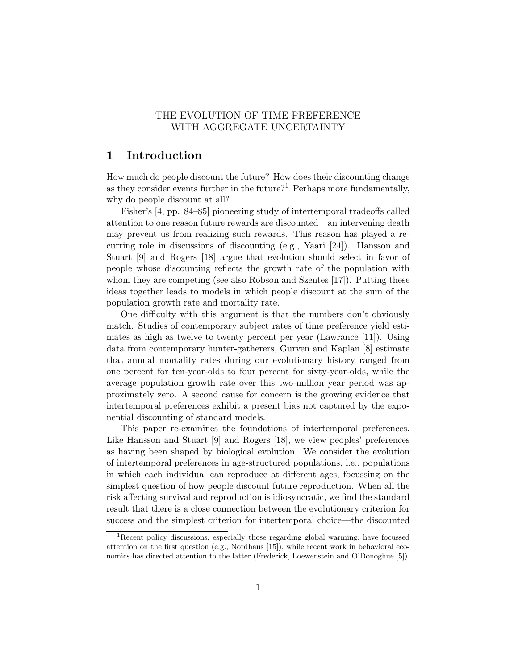## THE EVOLUTION OF TIME PREFERENCE WITH AGGREGATE UNCERTAINTY

## 1 Introduction

How much do people discount the future? How does their discounting change as they consider events further in the future?<sup>1</sup> Perhaps more fundamentally, why do people discount at all?

Fisher's [4, pp. 84–85] pioneering study of intertemporal tradeoffs called attention to one reason future rewards are discounted—an intervening death may prevent us from realizing such rewards. This reason has played a recurring role in discussions of discounting (e.g., Yaari [24]). Hansson and Stuart [9] and Rogers [18] argue that evolution should select in favor of people whose discounting reflects the growth rate of the population with whom they are competing (see also Robson and Szentes [17]). Putting these ideas together leads to models in which people discount at the sum of the population growth rate and mortality rate.

One difficulty with this argument is that the numbers don't obviously match. Studies of contemporary subject rates of time preference yield estimates as high as twelve to twenty percent per year (Lawrance [11]). Using data from contemporary hunter-gatherers, Gurven and Kaplan [8] estimate that annual mortality rates during our evolutionary history ranged from one percent for ten-year-olds to four percent for sixty-year-olds, while the average population growth rate over this two-million year period was approximately zero. A second cause for concern is the growing evidence that intertemporal preferences exhibit a present bias not captured by the exponential discounting of standard models.

This paper re-examines the foundations of intertemporal preferences. Like Hansson and Stuart [9] and Rogers [18], we view peoples' preferences as having been shaped by biological evolution. We consider the evolution of intertemporal preferences in age-structured populations, i.e., populations in which each individual can reproduce at different ages, focussing on the simplest question of how people discount future reproduction. When all the risk affecting survival and reproduction is idiosyncratic, we find the standard result that there is a close connection between the evolutionary criterion for success and the simplest criterion for intertemporal choice—the discounted

<sup>1</sup>Recent policy discussions, especially those regarding global warming, have focussed attention on the first question (e.g., Nordhaus [15]), while recent work in behavioral economics has directed attention to the latter (Frederick, Loewenstein and O'Donoghue [5]).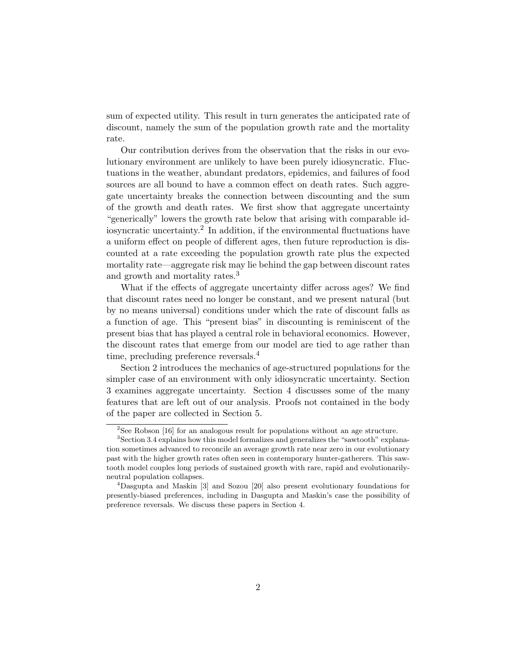sum of expected utility. This result in turn generates the anticipated rate of discount, namely the sum of the population growth rate and the mortality rate.

Our contribution derives from the observation that the risks in our evolutionary environment are unlikely to have been purely idiosyncratic. Fluctuations in the weather, abundant predators, epidemics, and failures of food sources are all bound to have a common effect on death rates. Such aggregate uncertainty breaks the connection between discounting and the sum of the growth and death rates. We first show that aggregate uncertainty "generically" lowers the growth rate below that arising with comparable idiosyncratic uncertainty.<sup>2</sup> In addition, if the environmental fluctuations have a uniform effect on people of different ages, then future reproduction is discounted at a rate exceeding the population growth rate plus the expected mortality rate—aggregate risk may lie behind the gap between discount rates and growth and mortality rates.<sup>3</sup>

What if the effects of aggregate uncertainty differ across ages? We find that discount rates need no longer be constant, and we present natural (but by no means universal) conditions under which the rate of discount falls as a function of age. This "present bias" in discounting is reminiscent of the present bias that has played a central role in behavioral economics. However, the discount rates that emerge from our model are tied to age rather than time, precluding preference reversals.<sup>4</sup>

Section 2 introduces the mechanics of age-structured populations for the simpler case of an environment with only idiosyncratic uncertainty. Section 3 examines aggregate uncertainty. Section 4 discusses some of the many features that are left out of our analysis. Proofs not contained in the body of the paper are collected in Section 5.

<sup>2</sup>See Robson [16] for an analogous result for populations without an age structure.

<sup>&</sup>lt;sup>3</sup>Section 3.4 explains how this model formalizes and generalizes the "sawtooth" explanation sometimes advanced to reconcile an average growth rate near zero in our evolutionary past with the higher growth rates often seen in contemporary hunter-gatherers. This sawtooth model couples long periods of sustained growth with rare, rapid and evolutionarilyneutral population collapses.

<sup>4</sup>Dasgupta and Maskin [3] and Sozou [20] also present evolutionary foundations for presently-biased preferences, including in Dasgupta and Maskin's case the possibility of preference reversals. We discuss these papers in Section 4.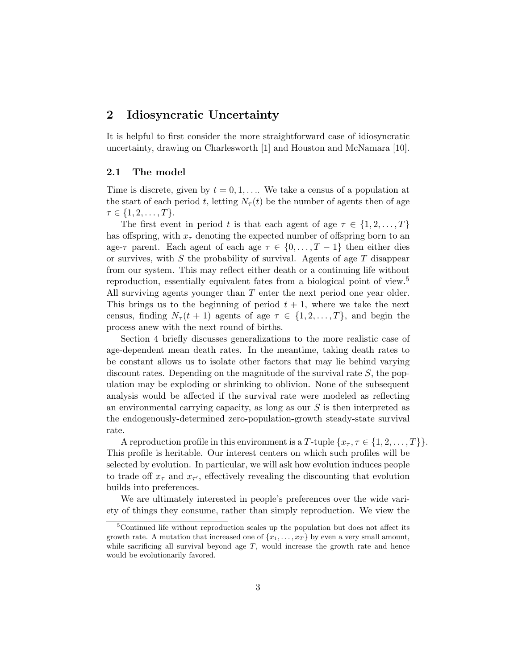## 2 Idiosyncratic Uncertainty

It is helpful to first consider the more straightforward case of idiosyncratic uncertainty, drawing on Charlesworth [1] and Houston and McNamara [10].

## 2.1 The model

Time is discrete, given by  $t = 0, 1, \ldots$  We take a census of a population at the start of each period t, letting  $N_{\tau}(t)$  be the number of agents then of age  $\tau \in \{1, 2, \ldots, T\}.$ 

The first event in period t is that each agent of age  $\tau \in \{1, 2, ..., T\}$ has offspring, with  $x<sub>\tau</sub>$  denoting the expected number of offspring born to an age- $\tau$  parent. Each agent of each age  $\tau \in \{0, \ldots, T-1\}$  then either dies or survives, with  $S$  the probability of survival. Agents of age  $T$  disappear from our system. This may reflect either death or a continuing life without reproduction, essentially equivalent fates from a biological point of view.<sup>5</sup> All surviving agents younger than  $T$  enter the next period one year older. This brings us to the beginning of period  $t + 1$ , where we take the next census, finding  $N_{\tau}(t + 1)$  agents of age  $\tau \in \{1, 2, ..., T\}$ , and begin the process anew with the next round of births.

Section 4 briefly discusses generalizations to the more realistic case of age-dependent mean death rates. In the meantime, taking death rates to be constant allows us to isolate other factors that may lie behind varying discount rates. Depending on the magnitude of the survival rate  $S$ , the population may be exploding or shrinking to oblivion. None of the subsequent analysis would be affected if the survival rate were modeled as reflecting an environmental carrying capacity, as long as our  $S$  is then interpreted as the endogenously-determined zero-population-growth steady-state survival rate.

A reproduction profile in this environment is a T-tuple  $\{x_{\tau}, \tau \in \{1, 2, \ldots, T\}\}.$ This profile is heritable. Our interest centers on which such profiles will be selected by evolution. In particular, we will ask how evolution induces people to trade off  $x_{\tau}$  and  $x_{\tau'}$ , effectively revealing the discounting that evolution builds into preferences.

We are ultimately interested in people's preferences over the wide variety of things they consume, rather than simply reproduction. We view the

<sup>&</sup>lt;sup>5</sup>Continued life without reproduction scales up the population but does not affect its growth rate. A mutation that increased one of  $\{x_1, \ldots, x_T\}$  by even a very small amount, while sacrificing all survival beyond age  $T$ , would increase the growth rate and hence would be evolutionarily favored.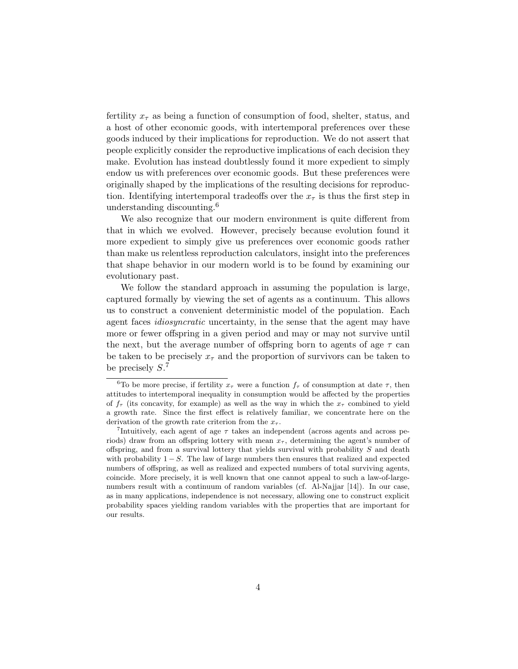fertility  $x<sub>\tau</sub>$  as being a function of consumption of food, shelter, status, and a host of other economic goods, with intertemporal preferences over these goods induced by their implications for reproduction. We do not assert that people explicitly consider the reproductive implications of each decision they make. Evolution has instead doubtlessly found it more expedient to simply endow us with preferences over economic goods. But these preferences were originally shaped by the implications of the resulting decisions for reproduction. Identifying intertemporal tradeoffs over the  $x<sub>\tau</sub>$  is thus the first step in understanding discounting.<sup>6</sup>

We also recognize that our modern environment is quite different from that in which we evolved. However, precisely because evolution found it more expedient to simply give us preferences over economic goods rather than make us relentless reproduction calculators, insight into the preferences that shape behavior in our modern world is to be found by examining our evolutionary past.

We follow the standard approach in assuming the population is large, captured formally by viewing the set of agents as a continuum. This allows us to construct a convenient deterministic model of the population. Each agent faces *idiosyncratic* uncertainty, in the sense that the agent may have more or fewer offspring in a given period and may or may not survive until the next, but the average number of offspring born to agents of age  $\tau$  can be taken to be precisely  $x<sub>\tau</sub>$  and the proportion of survivors can be taken to be precisely  $S<sup>7</sup>$ 

<sup>&</sup>lt;sup>6</sup>To be more precise, if fertility  $x_{\tau}$  were a function  $f_{\tau}$  of consumption at date  $\tau$ , then attitudes to intertemporal inequality in consumption would be affected by the properties of  $f_{\tau}$  (its concavity, for example) as well as the way in which the  $x_{\tau}$  combined to yield a growth rate. Since the first effect is relatively familiar, we concentrate here on the derivation of the growth rate criterion from the  $x_{\tau}$ .

<sup>&</sup>lt;sup>7</sup>Intuitively, each agent of age  $\tau$  takes an independent (across agents and across periods) draw from an offspring lottery with mean  $x<sub>\tau</sub>$ , determining the agent's number of offspring, and from a survival lottery that yields survival with probability S and death with probability  $1 - S$ . The law of large numbers then ensures that realized and expected numbers of offspring, as well as realized and expected numbers of total surviving agents, coincide. More precisely, it is well known that one cannot appeal to such a law-of-largenumbers result with a continuum of random variables (cf. Al-Najjar [14]). In our case, as in many applications, independence is not necessary, allowing one to construct explicit probability spaces yielding random variables with the properties that are important for our results.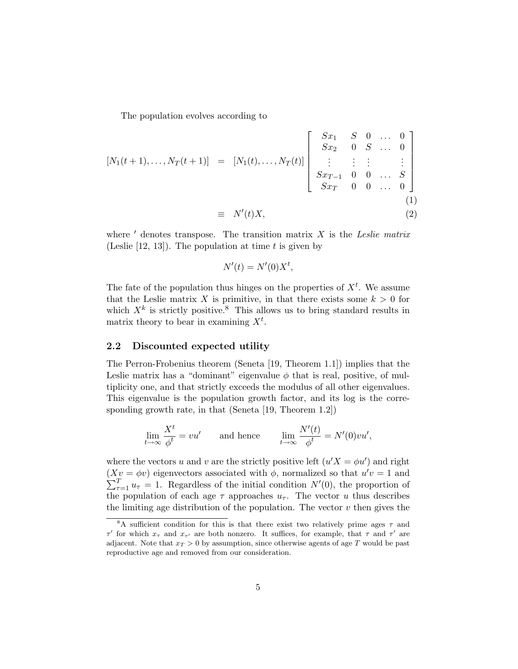The population evolves according to

$$
[N_{1}(t+1),...,N_{T}(t+1)] = [N_{1}(t),...,N_{T}(t)] \begin{bmatrix} Sx_{1} & S & 0 & \dots & 0 \\ Sx_{2} & 0 & S & \dots & 0 \\ \vdots & \vdots & \vdots & \vdots & \vdots \\ Sx_{T-1} & 0 & 0 & \dots & S \\ Sx_{T} & 0 & 0 & \dots & 0 \end{bmatrix}
$$
  

$$
\equiv N'(t)X,
$$
 (2)

where  $'$  denotes transpose. The transition matrix  $X$  is the Leslie matrix (Leslie  $[12, 13]$ ). The population at time t is given by

$$
N'(t) = N'(0)X^t,
$$

The fate of the population thus hinges on the properties of  $X<sup>t</sup>$ . We assume that the Leslie matrix X is primitive, in that there exists some  $k > 0$  for which  $X^k$  is strictly positive.<sup>8</sup> This allows us to bring standard results in matrix theory to bear in examining  $X^t$ .

### 2.2 Discounted expected utility

The Perron-Frobenius theorem (Seneta [19, Theorem 1.1]) implies that the Leslie matrix has a "dominant" eigenvalue  $\phi$  that is real, positive, of multiplicity one, and that strictly exceeds the modulus of all other eigenvalues. This eigenvalue is the population growth factor, and its log is the corresponding growth rate, in that (Seneta [19, Theorem 1.2])

$$
\lim_{t \to \infty} \frac{X^t}{\phi^t} = vu' \quad \text{and hence} \quad \lim_{t \to \infty} \frac{N'(t)}{\phi^t} = N'(0)v u',
$$

where the vectors u and v are the strictly positive left  $(u'X = \phi u')$  and right  $(Xv = \phi v)$  eigenvectors associated with  $\phi$ , normalized so that  $u'v = 1$  and  $\sum_{\tau=1}^T u_{\tau} = 1$ . Regardless of the initial condition  $N'(0)$ , the proportion of the population of each age  $\tau$  approaches  $u_{\tau}$ . The vector u thus describes the limiting age distribution of the population. The vector  $v$  then gives the

<sup>&</sup>lt;sup>8</sup>A sufficient condition for this is that there exist two relatively prime ages  $\tau$  and  $\tau'$  for which  $x_{\tau}$  and  $x_{\tau'}$  are both nonzero. It suffices, for example, that  $\tau$  and  $\tau'$  are adjacent. Note that  $x_T > 0$  by assumption, since otherwise agents of age T would be past reproductive age and removed from our consideration.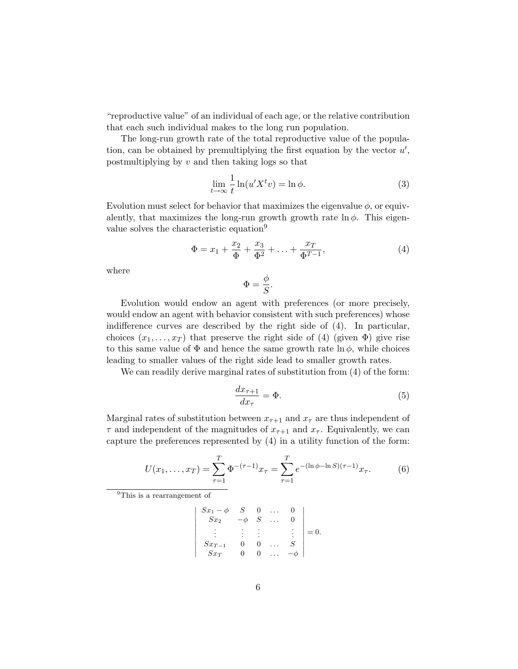"reproductive value" of an individual of each age, or the relative contribution that each such individual makes to the long run population.

The long-run growth rate of the total reproductive value of the population, can be obtained by premultiplying the first equation by the vector  $u'$ , postmultiplying by  $v$  and then taking logs so that

$$
\lim_{t \to \infty} \frac{1}{t} \ln(u'X^t v) = \ln \phi.
$$
\n(3)

Evolution must select for behavior that maximizes the eigenvalue  $\phi$ , or equivalently, that maximizes the long-run growth growth rate  $\ln \phi$ . This eigenvalue solves the characteristic equation<sup>9</sup>

$$
\Phi = x_1 + \frac{x_2}{\Phi} + \frac{x_3}{\Phi^2} + \ldots + \frac{x_T}{\Phi^{T-1}},\tag{4}
$$

where

$$
\Phi=\frac{\phi}{S}.
$$

Evolution would endow an agent with preferences (or more precisely, would endow an agent with behavior consistent with such preferences) whose indifference curves are described by the right side of (4). In particular, choices  $(x_1, \ldots, x_T)$  that preserve the right side of (4) (given  $\Phi$ ) give rise to this same value of  $\Phi$  and hence the same growth rate  $\ln \phi$ , while choices leading to smaller values of the right side lead to smaller growth rates.

We can readily derive marginal rates of substitution from (4) of the form:

$$
\frac{dx_{\tau+1}}{dx_{\tau}} = \Phi.
$$
\n(5)

Marginal rates of substitution between  $x_{\tau+1}$  and  $x_{\tau}$  are thus independent of  $\tau$  and independent of the magnitudes of  $x_{\tau+1}$  and  $x_{\tau}$ . Equivalently, we can capture the preferences represented by (4) in a utility function of the form:

$$
U(x_1, \dots, x_T) = \sum_{\tau=1}^T \Phi^{-(\tau-1)} x_\tau = \sum_{\tau=1}^T e^{-(\ln \phi - \ln S)(\tau - 1)} x_\tau.
$$
 (6)

<sup>9</sup>This is a rearrangement of

$$
\begin{vmatrix} Sx_1 - \phi & S & 0 & \dots & 0 \\ Sx_2 & -\phi & S & \dots & 0 \\ \vdots & \vdots & \vdots & & \vdots \\ Sx_{T-1} & 0 & 0 & \dots & S \\ Sx_T & 0 & 0 & \dots & -\phi \end{vmatrix} = 0.
$$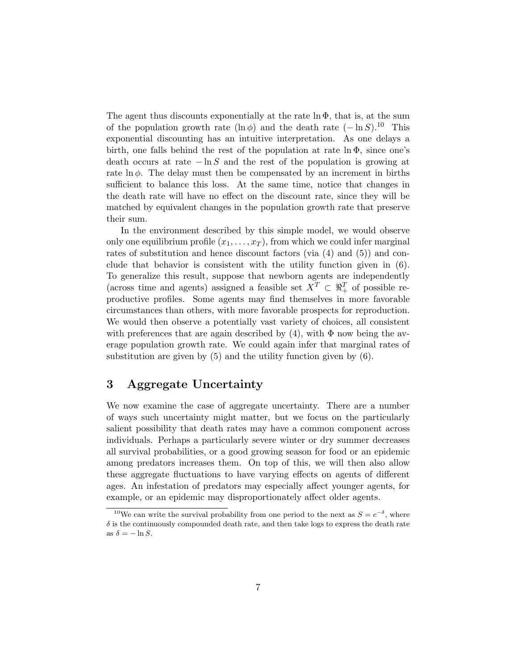The agent thus discounts exponentially at the rate  $\ln \Phi$ , that is, at the sum of the population growth rate  $(\ln \phi)$  and the death rate  $(-\ln S).^{10}$  This exponential discounting has an intuitive interpretation. As one delays a birth, one falls behind the rest of the population at rate  $\ln \Phi$ , since one's death occurs at rate  $-\ln S$  and the rest of the population is growing at rate  $\ln \phi$ . The delay must then be compensated by an increment in births sufficient to balance this loss. At the same time, notice that changes in the death rate will have no effect on the discount rate, since they will be matched by equivalent changes in the population growth rate that preserve their sum.

In the environment described by this simple model, we would observe only one equilibrium profile  $(x_1, \ldots, x_T)$ , from which we could infer marginal rates of substitution and hence discount factors (via  $(4)$  and  $(5)$ ) and conclude that behavior is consistent with the utility function given in (6). To generalize this result, suppose that newborn agents are independently (across time and agents) assigned a feasible set  $X^T \subset \mathbb{R}^T_+$  of possible reproductive profiles. Some agents may find themselves in more favorable circumstances than others, with more favorable prospects for reproduction. We would then observe a potentially vast variety of choices, all consistent with preferences that are again described by  $(4)$ , with  $\Phi$  now being the average population growth rate. We could again infer that marginal rates of substitution are given by (5) and the utility function given by (6).

## 3 Aggregate Uncertainty

We now examine the case of aggregate uncertainty. There are a number of ways such uncertainty might matter, but we focus on the particularly salient possibility that death rates may have a common component across individuals. Perhaps a particularly severe winter or dry summer decreases all survival probabilities, or a good growing season for food or an epidemic among predators increases them. On top of this, we will then also allow these aggregate fluctuations to have varying effects on agents of different ages. An infestation of predators may especially affect younger agents, for example, or an epidemic may disproportionately affect older agents.

<sup>&</sup>lt;sup>10</sup>We can write the survival probability from one period to the next as  $S = e^{-\delta}$ , where  $\delta$  is the continuously compounded death rate, and then take logs to express the death rate as  $\delta = -\ln S$ .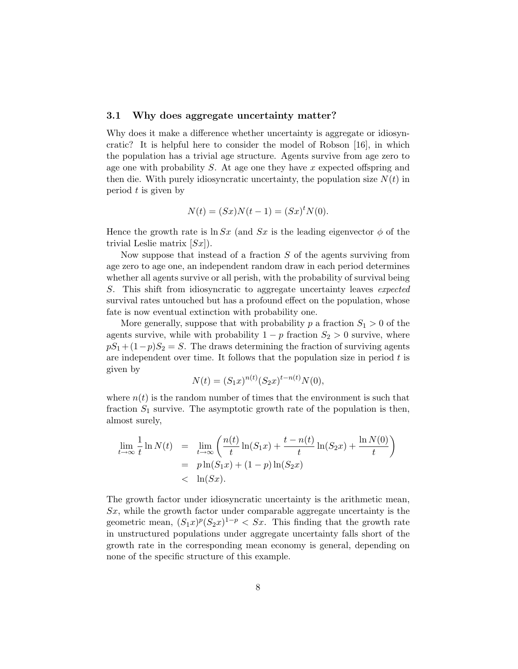### 3.1 Why does aggregate uncertainty matter?

Why does it make a difference whether uncertainty is aggregate or idiosyncratic? It is helpful here to consider the model of Robson [16], in which the population has a trivial age structure. Agents survive from age zero to age one with probability  $S$ . At age one they have x expected offspring and then die. With purely idiosyncratic uncertainty, the population size  $N(t)$  in period  $t$  is given by

$$
N(t) = (Sx)N(t-1) = (Sx)^t N(0).
$$

Hence the growth rate is  $\ln Sx$  (and Sx is the leading eigenvector  $\phi$  of the trivial Leslie matrix  $[Sx]$ ).

Now suppose that instead of a fraction  $S$  of the agents surviving from age zero to age one, an independent random draw in each period determines whether all agents survive or all perish, with the probability of survival being S. This shift from idiosyncratic to aggregate uncertainty leaves expected survival rates untouched but has a profound effect on the population, whose fate is now eventual extinction with probability one.

More generally, suppose that with probability p a fraction  $S_1 > 0$  of the agents survive, while with probability  $1 - p$  fraction  $S_2 > 0$  survive, where  $pS_1 + (1-p)S_2 = S$ . The draws determining the fraction of surviving agents are independent over time. It follows that the population size in period  $t$  is given by

$$
N(t) = (S_1 x)^{n(t)} (S_2 x)^{t - n(t)} N(0),
$$

where  $n(t)$  is the random number of times that the environment is such that fraction  $S_1$  survive. The asymptotic growth rate of the population is then, almost surely,

$$
\lim_{t \to \infty} \frac{1}{t} \ln N(t) = \lim_{t \to \infty} \left( \frac{n(t)}{t} \ln(S_1 x) + \frac{t - n(t)}{t} \ln(S_2 x) + \frac{\ln N(0)}{t} \right)
$$
  
=  $p \ln(S_1 x) + (1 - p) \ln(S_2 x)$   
<  $\ln(Sx)$ .

The growth factor under idiosyncratic uncertainty is the arithmetic mean,  $Sx$ , while the growth factor under comparable aggregate uncertainty is the geometric mean,  $(S_1x)^p(S_2x)^{1-p} < Sx$ . This finding that the growth rate in unstructured populations under aggregate uncertainty falls short of the growth rate in the corresponding mean economy is general, depending on none of the specific structure of this example.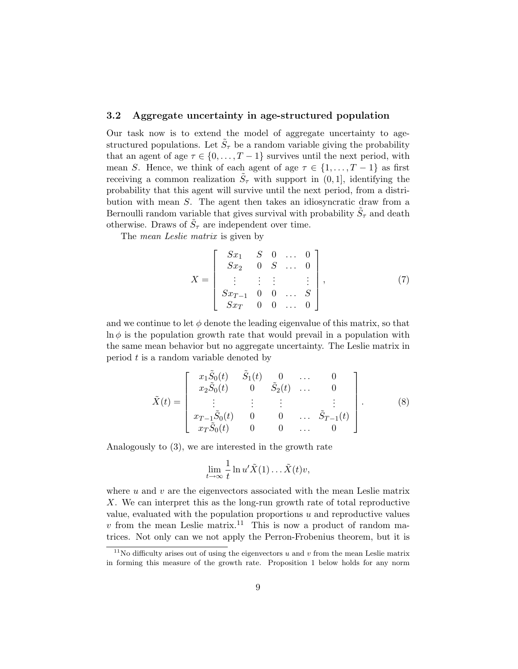## 3.2 Aggregate uncertainty in age-structured population

Our task now is to extend the model of aggregate uncertainty to agestructured populations. Let  $\tilde{S}_{\tau}$  be a random variable giving the probability that an agent of age  $\tau \in \{0, \ldots, T-1\}$  survives until the next period, with mean S. Hence, we think of each agent of age  $\tau \in \{1, \ldots, T-1\}$  as first receiving a common realization  $\tilde{S}_{\tau}$  with support in  $(0, 1]$ , identifying the probability that this agent will survive until the next period, from a distribution with mean S. The agent then takes an idiosyncratic draw from a Bernoulli random variable that gives survival with probability  $\tilde{S}_{\tau}$  and death otherwise. Draws of  $\tilde{S}_{\tau}$  are independent over time.

The *mean Leslie matrix* is given by

$$
X = \begin{bmatrix} Sx_1 & S & 0 & \dots & 0 \\ Sx_2 & 0 & S & \dots & 0 \\ \vdots & \vdots & \vdots & & \vdots \\ Sx_{T-1} & 0 & 0 & \dots & S \\ Sx_T & 0 & 0 & \dots & 0 \end{bmatrix},
$$
(7)

and we continue to let  $\phi$  denote the leading eigenvalue of this matrix, so that  $\ln \phi$  is the population growth rate that would prevail in a population with the same mean behavior but no aggregate uncertainty. The Leslie matrix in period  $t$  is a random variable denoted by

$$
\tilde{X}(t) = \begin{bmatrix} x_1 \tilde{S}_0(t) & \tilde{S}_1(t) & 0 & \dots & 0 \\ x_2 \tilde{S}_0(t) & 0 & \tilde{S}_2(t) & \dots & 0 \\ \vdots & \vdots & \vdots & \vdots & \vdots \\ x_{T-1} \tilde{S}_0(t) & 0 & 0 & \dots & \tilde{S}_{T-1}(t) \\ x_T \tilde{S}_0(t) & 0 & 0 & \dots & 0 \end{bmatrix} .
$$
 (8)

Analogously to (3), we are interested in the growth rate

$$
\lim_{t \to \infty} \frac{1}{t} \ln u' \tilde{X}(1) \dots \tilde{X}(t) v,
$$

where  $u$  and  $v$  are the eigenvectors associated with the mean Leslie matrix X. We can interpret this as the long-run growth rate of total reproductive value, evaluated with the population proportions  $u$  and reproductive values v from the mean Leslie matrix.<sup>11</sup> This is now a product of random matrices. Not only can we not apply the Perron-Frobenius theorem, but it is

<sup>&</sup>lt;sup>11</sup>No difficulty arises out of using the eigenvectors  $u$  and  $v$  from the mean Leslie matrix in forming this measure of the growth rate. Proposition 1 below holds for any norm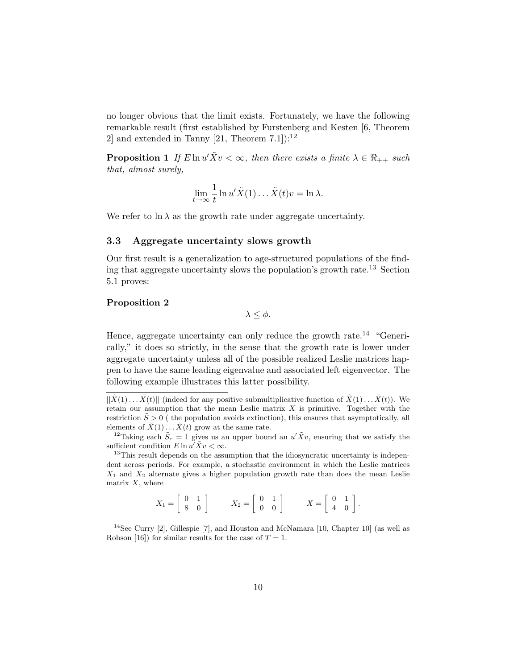no longer obvious that the limit exists. Fortunately, we have the following remarkable result (first established by Furstenberg and Kesten [6, Theorem 2 and extended in Tanny  $[21,$  Theorem  $7.1$ ]):<sup>12</sup>

**Proposition 1** If  $E \ln u' \tilde{X} v < \infty$ , then there exists a finite  $\lambda \in \Re_{++}$  such that, almost surely,

$$
\lim_{t \to \infty} \frac{1}{t} \ln u' \tilde{X}(1) \dots \tilde{X}(t) v = \ln \lambda.
$$

We refer to  $\ln \lambda$  as the growth rate under aggregate uncertainty.

### 3.3 Aggregate uncertainty slows growth

Our first result is a generalization to age-structured populations of the finding that aggregate uncertainty slows the population's growth rate.<sup>13</sup> Section 5.1 proves:

### Proposition 2

 $λ < φ$ .

Hence, aggregate uncertainty can only reduce the growth rate.<sup>14</sup> "Generically," it does so strictly, in the sense that the growth rate is lower under aggregate uncertainty unless all of the possible realized Leslie matrices happen to have the same leading eigenvalue and associated left eigenvector. The following example illustrates this latter possibility.

$$
X_1 = \left[ \begin{array}{cc} 0 & 1 \\ 8 & 0 \end{array} \right] \qquad X_2 = \left[ \begin{array}{cc} 0 & 1 \\ 0 & 0 \end{array} \right] \qquad X = \left[ \begin{array}{cc} 0 & 1 \\ 4 & 0 \end{array} \right].
$$

<sup>14</sup>See Curry [2], Gillespie [7], and Houston and McNamara [10, Chapter 10] (as well as Robson [16]) for similar results for the case of  $T = 1$ .

 $||\tilde{X}(1)... \tilde{X}(t)||$  (indeed for any positive submultiplicative function of  $\tilde{X}(1)... \tilde{X}(t)$ ). We retain our assumption that the mean Leslie matrix  $X$  is primitive. Together with the restriction  $\tilde{S} > 0$  ( the population avoids extinction), this ensures that asymptotically, all elements of  $\tilde{X}(1) \ldots \tilde{X}(t)$  grow at the same rate.

<sup>&</sup>lt;sup>12</sup>Taking each  $\tilde{S}_{\tau} = 1$  gives us an upper bound an  $u' \tilde{X}v$ , ensuring that we satisfy the sufficient condition  $E \ln u' \tilde{X} v < \infty$ .

 $13$ This result depends on the assumption that the idiosyncratic uncertainty is independent across periods. For example, a stochastic environment in which the Leslie matrices  $X_1$  and  $X_2$  alternate gives a higher population growth rate than does the mean Leslie matrix  $X$ , where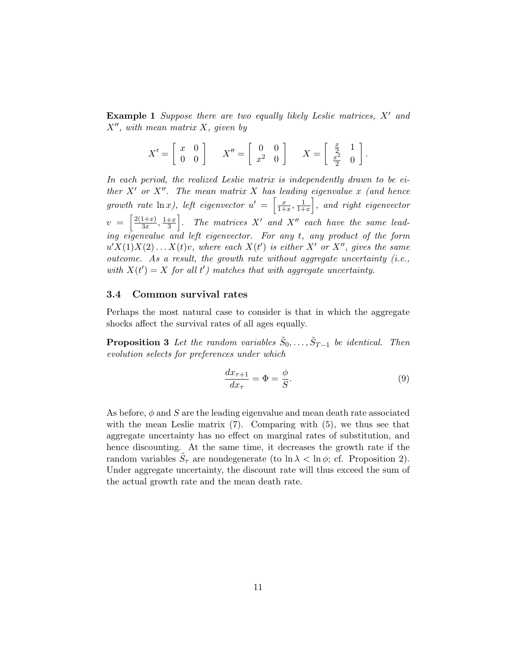**Example 1** Suppose there are two equally likely Leslie matrices,  $X'$  and  $X''$ , with mean matrix X, given by

$$
X' = \begin{bmatrix} x & 0 \\ 0 & 0 \end{bmatrix} \qquad X'' = \begin{bmatrix} 0 & 0 \\ x^2 & 0 \end{bmatrix} \qquad X = \begin{bmatrix} \frac{x}{2} & 1 \\ \frac{x^2}{2} & 0 \end{bmatrix}.
$$

In each period, the realized Leslie matrix is independently drawn to be either  $X'$  or  $X''$ . The mean matrix X has leading eigenvalue x (and hence growth rate  $\ln x$ ), left eigenvector  $u' = \begin{bmatrix} \frac{x}{1+x} & -x \end{bmatrix}$  $\frac{x}{1+x}, \frac{1}{1+x}$  $\frac{1}{1+x}$ , and right eigenvector  $v = \left[\frac{2(1+x)}{3x}\right]$  $\frac{1+x}{3x}, \frac{1+x}{3}$  $\left\lfloor \frac{+x}{3} \right\rfloor$ . The matrices  $X'$  and  $X''$  each have the same leading eigenvalue and left eigenvector. For any t, any product of the form  $u'X(1)X(2)...X(t)v$ , where each  $X(t')$  is either X' or X'', gives the same outcome. As a result, the growth rate without aggregate uncertainty  $(i.e.,$ with  $X(t') = X$  for all t') matches that with aggregate uncertainty.

### 3.4 Common survival rates

Perhaps the most natural case to consider is that in which the aggregate shocks affect the survival rates of all ages equally.

**Proposition 3** Let the random variables  $\tilde{S}_0, \ldots, \tilde{S}_{T-1}$  be identical. Then evolution selects for preferences under which

$$
\frac{dx_{\tau+1}}{dx_{\tau}} = \Phi = \frac{\phi}{S}.\tag{9}
$$

As before,  $\phi$  and S are the leading eigenvalue and mean death rate associated with the mean Leslie matrix  $(7)$ . Comparing with  $(5)$ , we thus see that aggregate uncertainty has no effect on marginal rates of substitution, and hence discounting. At the same time, it decreases the growth rate if the random variables  $\tilde{S}_{\tau}$  are nondegenerate (to  $\ln \lambda < \ln \phi$ ; cf. Proposition 2). Under aggregate uncertainty, the discount rate will thus exceed the sum of the actual growth rate and the mean death rate.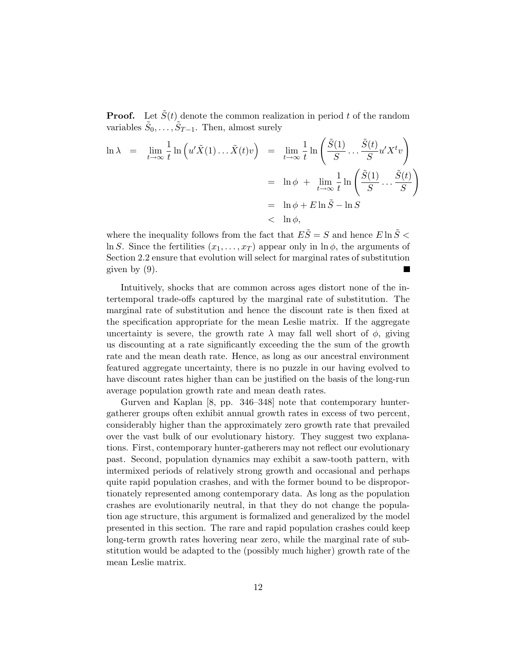**Proof.** Let  $\tilde{S}(t)$  denote the common realization in period t of the random variables  $\tilde{S}_0, \ldots, \tilde{S}_{T-1}$ . Then, almost surely

$$
\ln \lambda = \lim_{t \to \infty} \frac{1}{t} \ln \left( u' \tilde{X}(1) \dots \tilde{X}(t) v \right) = \lim_{t \to \infty} \frac{1}{t} \ln \left( \frac{\tilde{S}(1)}{S} \dots \frac{\tilde{S}(t)}{S} u' X^t v \right)
$$
  

$$
= \ln \phi + \lim_{t \to \infty} \frac{1}{t} \ln \left( \frac{\tilde{S}(1)}{S} \dots \frac{\tilde{S}(t)}{S} \right)
$$
  

$$
= \ln \phi + E \ln \tilde{S} - \ln S
$$
  

$$
< \ln \phi,
$$

where the inequality follows from the fact that  $E\tilde{S} = S$  and hence  $E \ln \tilde{S} <$ ln S. Since the fertilities  $(x_1, \ldots, x_T)$  appear only in ln  $\phi$ , the arguments of Section 2.2 ensure that evolution will select for marginal rates of substitution given by (9).

Intuitively, shocks that are common across ages distort none of the intertemporal trade-offs captured by the marginal rate of substitution. The marginal rate of substitution and hence the discount rate is then fixed at the specification appropriate for the mean Leslie matrix. If the aggregate uncertainty is severe, the growth rate  $\lambda$  may fall well short of  $\phi$ , giving us discounting at a rate significantly exceeding the the sum of the growth rate and the mean death rate. Hence, as long as our ancestral environment featured aggregate uncertainty, there is no puzzle in our having evolved to have discount rates higher than can be justified on the basis of the long-run average population growth rate and mean death rates.

Gurven and Kaplan [8, pp. 346–348] note that contemporary huntergatherer groups often exhibit annual growth rates in excess of two percent, considerably higher than the approximately zero growth rate that prevailed over the vast bulk of our evolutionary history. They suggest two explanations. First, contemporary hunter-gatherers may not reflect our evolutionary past. Second, population dynamics may exhibit a saw-tooth pattern, with intermixed periods of relatively strong growth and occasional and perhaps quite rapid population crashes, and with the former bound to be disproportionately represented among contemporary data. As long as the population crashes are evolutionarily neutral, in that they do not change the population age structure, this argument is formalized and generalized by the model presented in this section. The rare and rapid population crashes could keep long-term growth rates hovering near zero, while the marginal rate of substitution would be adapted to the (possibly much higher) growth rate of the mean Leslie matrix.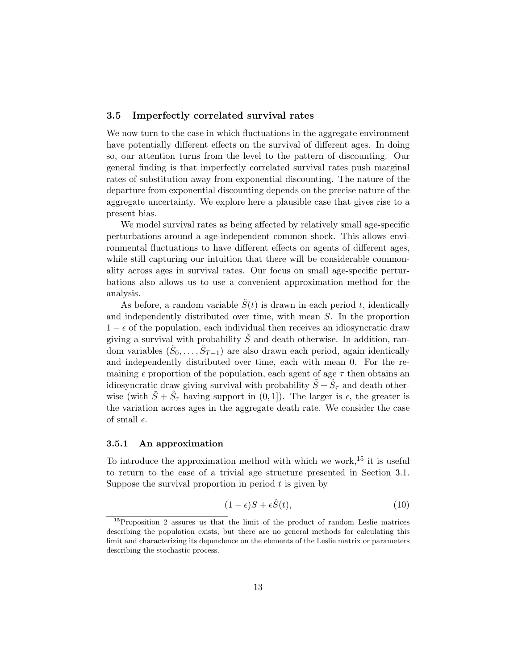## 3.5 Imperfectly correlated survival rates

We now turn to the case in which fluctuations in the aggregate environment have potentially different effects on the survival of different ages. In doing so, our attention turns from the level to the pattern of discounting. Our general finding is that imperfectly correlated survival rates push marginal rates of substitution away from exponential discounting. The nature of the departure from exponential discounting depends on the precise nature of the aggregate uncertainty. We explore here a plausible case that gives rise to a present bias.

We model survival rates as being affected by relatively small age-specific perturbations around a age-independent common shock. This allows environmental fluctuations to have different effects on agents of different ages, while still capturing our intuition that there will be considerable commonality across ages in survival rates. Our focus on small age-specific perturbations also allows us to use a convenient approximation method for the analysis.

As before, a random variable  $\tilde{S}(t)$  is drawn in each period t, identically and independently distributed over time, with mean S. In the proportion  $1 - \epsilon$  of the population, each individual then receives an idiosyncratic draw giving a survival with probability  $\tilde{S}$  and death otherwise. In addition, random variables  $(\hat{S}_0, \ldots, \hat{S}_{T-1})$  are also drawn each period, again identically and independently distributed over time, each with mean 0. For the remaining  $\epsilon$  proportion of the population, each agent of age  $\tau$  then obtains an idiosyncratic draw giving survival with probability  $\tilde{S} + \hat{S}_\tau$  and death otherwise (with  $\tilde{S} + \hat{S}_{\tau}$  having support in  $(0, 1]$ ). The larger is  $\epsilon$ , the greater is the variation across ages in the aggregate death rate. We consider the case of small  $\epsilon$ .

#### 3.5.1 An approximation

To introduce the approximation method with which we work,  $15$  it is useful to return to the case of a trivial age structure presented in Section 3.1. Suppose the survival proportion in period  $t$  is given by

$$
(1 - \epsilon)S + \epsilon \hat{S}(t),\tag{10}
$$

 $15$ Proposition 2 assures us that the limit of the product of random Leslie matrices describing the population exists, but there are no general methods for calculating this limit and characterizing its dependence on the elements of the Leslie matrix or parameters describing the stochastic process.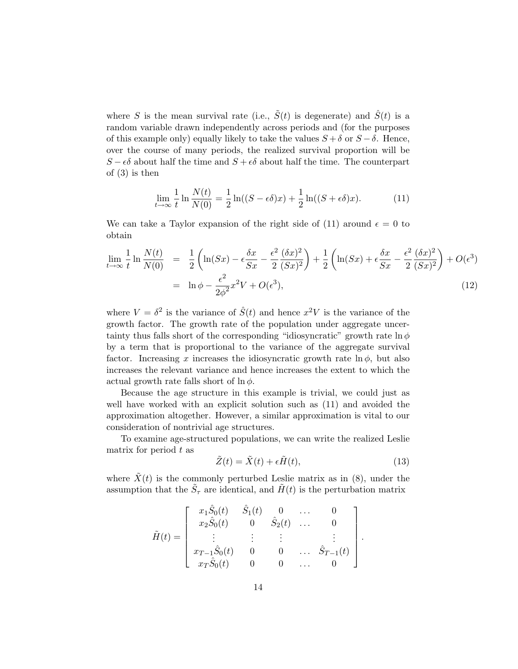where S is the mean survival rate (i.e.,  $\tilde{S}(t)$  is degenerate) and  $\hat{S}(t)$  is a random variable drawn independently across periods and (for the purposes of this example only) equally likely to take the values  $S + \delta$  or  $S - \delta$ . Hence, over the course of many periods, the realized survival proportion will be  $S - \epsilon \delta$  about half the time and  $S + \epsilon \delta$  about half the time. The counterpart of (3) is then

$$
\lim_{t \to \infty} \frac{1}{t} \ln \frac{N(t)}{N(0)} = \frac{1}{2} \ln((S - \epsilon \delta)x) + \frac{1}{2} \ln((S + \epsilon \delta)x). \tag{11}
$$

We can take a Taylor expansion of the right side of (11) around  $\epsilon = 0$  to obtain

$$
\lim_{t \to \infty} \frac{1}{t} \ln \frac{N(t)}{N(0)} = \frac{1}{2} \left( \ln(Sx) - \epsilon \frac{\delta x}{Sx} - \frac{\epsilon^2}{2} \frac{(\delta x)^2}{(Sx)^2} \right) + \frac{1}{2} \left( \ln(Sx) + \epsilon \frac{\delta x}{Sx} - \frac{\epsilon^2}{2} \frac{(\delta x)^2}{(Sx)^2} \right) + O(\epsilon^3)
$$
\n
$$
= \ln \phi - \frac{\epsilon^2}{2\phi^2} x^2 V + O(\epsilon^3), \tag{12}
$$

where  $V = \delta^2$  is the variance of  $\hat{S}(t)$  and hence  $x^2V$  is the variance of the growth factor. The growth rate of the population under aggregate uncertainty thus falls short of the corresponding "idiosyncratic" growth rate  $\ln \phi$ by a term that is proportional to the variance of the aggregate survival factor. Increasing x increases the idiosyncratic growth rate  $\ln \phi$ , but also increases the relevant variance and hence increases the extent to which the actual growth rate falls short of  $\ln \phi$ .

Because the age structure in this example is trivial, we could just as well have worked with an explicit solution such as (11) and avoided the approximation altogether. However, a similar approximation is vital to our consideration of nontrivial age structures.

To examine age-structured populations, we can write the realized Leslie matrix for period  $t$  as

$$
\tilde{Z}(t) = \tilde{X}(t) + \epsilon \tilde{H}(t),\tag{13}
$$

where  $\tilde{X}(t)$  is the commonly perturbed Leslie matrix as in (8), under the assumption that the  $\tilde{S}_{\tau}$  are identical, and  $\tilde{H}(t)$  is the perturbation matrix

$$
\tilde{H}(t) = \begin{bmatrix} x_1 \hat{S}_0(t) & \hat{S}_1(t) & 0 & \dots & 0 \\ x_2 \hat{S}_0(t) & 0 & \hat{S}_2(t) & \dots & 0 \\ \vdots & \vdots & \vdots & \vdots & \vdots \\ x_{T-1} \hat{S}_0(t) & 0 & 0 & \dots & \hat{S}_{T-1}(t) \\ x_T \hat{S}_0(t) & 0 & 0 & \dots & 0 \end{bmatrix}.
$$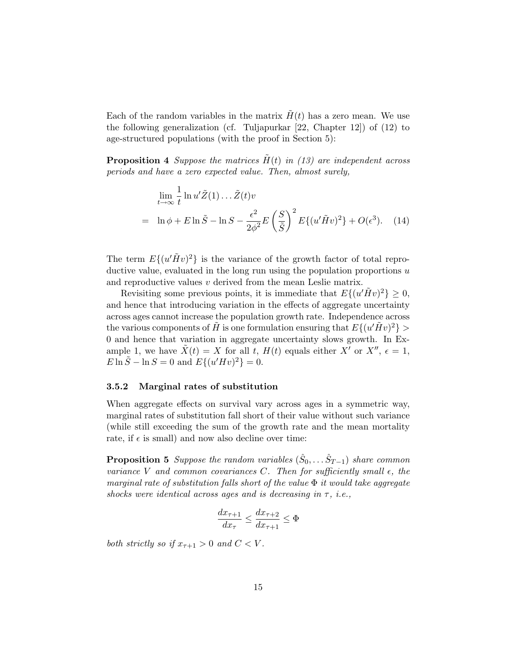Each of the random variables in the matrix  $H(t)$  has a zero mean. We use the following generalization (cf. Tuljapurkar [22, Chapter 12]) of (12) to age-structured populations (with the proof in Section 5):

**Proposition 4** Suppose the matrices  $H(t)$  in (13) are independent across periods and have a zero expected value. Then, almost surely,

$$
\lim_{t \to \infty} \frac{1}{t} \ln u' \tilde{Z}(1) \dots \tilde{Z}(t) v
$$
\n
$$
= \ln \phi + E \ln \tilde{S} - \ln S - \frac{\epsilon^2}{2\phi^2} E \left(\frac{S}{\tilde{S}}\right)^2 E \{ (u' \tilde{H} v)^2 \} + O(\epsilon^3). \quad (14)
$$

The term  $E\{(u'\tilde{H}v)^2\}$  is the variance of the growth factor of total reproductive value, evaluated in the long run using the population proportions  $u$ and reproductive values v derived from the mean Leslie matrix.

Revisiting some previous points, it is immediate that  $E\{(u'\tilde{H}v)^2\} \geq 0$ , and hence that introducing variation in the effects of aggregate uncertainty across ages cannot increase the population growth rate. Independence across the various components of  $\tilde{H}$  is one formulation ensuring that  $E\{(u'\tilde{H}v)^2\} >$ 0 and hence that variation in aggregate uncertainty slows growth. In Example 1, we have  $\tilde{X}(t) = X$  for all t,  $H(t)$  equals either  $X'$  or  $X''$ ,  $\epsilon = 1$ ,  $E \ln \tilde{S} - \ln S = 0$  and  $E\{(u'Hv)^2\} = 0$ .

#### 3.5.2 Marginal rates of substitution

When aggregate effects on survival vary across ages in a symmetric way, marginal rates of substitution fall short of their value without such variance (while still exceeding the sum of the growth rate and the mean mortality rate, if  $\epsilon$  is small) and now also decline over time:

**Proposition 5** Suppose the random variables  $(\hat{S}_0, \ldots \hat{S}_{T-1})$  share common variance V and common covariances C. Then for sufficiently small  $\epsilon$ , the marginal rate of substitution falls short of the value  $\Phi$  it would take aggregate shocks were identical across ages and is decreasing in  $\tau$ , i.e.,

$$
\frac{dx_{\tau+1}}{dx_{\tau}} \le \frac{dx_{\tau+2}}{dx_{\tau+1}} \le \Phi
$$

both strictly so if  $x_{\tau+1} > 0$  and  $C < V$ .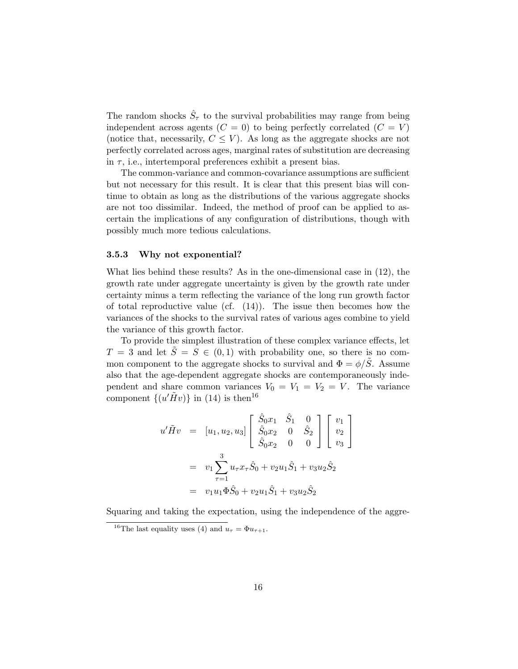The random shocks  $\hat{S}_{\tau}$  to the survival probabilities may range from being independent across agents  $(C = 0)$  to being perfectly correlated  $(C = V)$ (notice that, necessarily,  $C \leq V$ ). As long as the aggregate shocks are not perfectly correlated across ages, marginal rates of substitution are decreasing in  $\tau$ , i.e., intertemporal preferences exhibit a present bias.

The common-variance and common-covariance assumptions are sufficient but not necessary for this result. It is clear that this present bias will continue to obtain as long as the distributions of the various aggregate shocks are not too dissimilar. Indeed, the method of proof can be applied to ascertain the implications of any configuration of distributions, though with possibly much more tedious calculations.

### 3.5.3 Why not exponential?

What lies behind these results? As in the one-dimensional case in (12), the growth rate under aggregate uncertainty is given by the growth rate under certainty minus a term reflecting the variance of the long run growth factor of total reproductive value (cf.  $(14)$ ). The issue then becomes how the variances of the shocks to the survival rates of various ages combine to yield the variance of this growth factor.

To provide the simplest illustration of these complex variance effects, let  $T = 3$  and let  $\tilde{S} = S \in (0,1)$  with probability one, so there is no common component to the aggregate shocks to survival and  $\Phi = \phi/\tilde{S}$ . Assume also that the age-dependent aggregate shocks are contemporaneously independent and share common variances  $V_0 = V_1 = V_2 = V$ . The variance component  $\{(u'\tilde{H}v)\}\$ in (14) is then<sup>16</sup>

$$
u'\tilde{H}v = [u_1, u_2, u_3] \begin{bmatrix} \hat{S}_0x_1 & \hat{S}_1 & 0 \\ \hat{S}_0x_2 & 0 & \hat{S}_2 \\ \hat{S}_0x_2 & 0 & 0 \end{bmatrix} \begin{bmatrix} v_1 \\ v_2 \\ v_3 \end{bmatrix}
$$
  
=  $v_1 \sum_{\tau=1}^3 u_\tau x_\tau \hat{S}_0 + v_2 u_1 \hat{S}_1 + v_3 u_2 \hat{S}_2$   
=  $v_1 u_1 \Phi \hat{S}_0 + v_2 u_1 \hat{S}_1 + v_3 u_2 \hat{S}_2$ 

Squaring and taking the expectation, using the independence of the aggre-

<sup>&</sup>lt;sup>16</sup>The last equality uses (4) and  $u_{\tau} = \Phi u_{\tau+1}$ .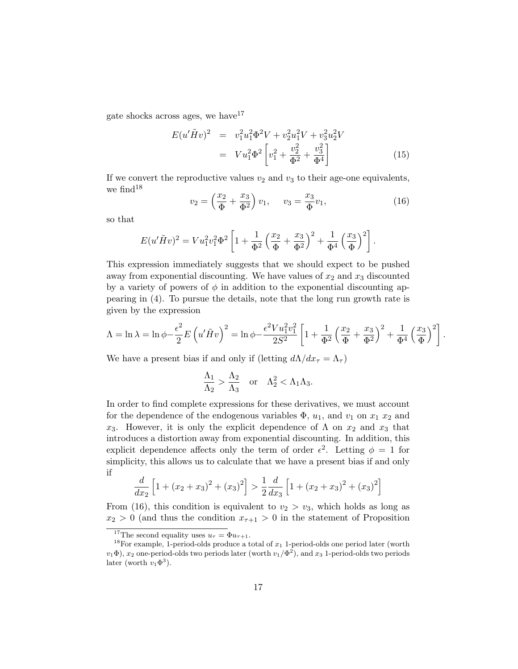gate shocks across ages, we have  $17$ 

$$
E(u'\tilde{H}v)^2 = v_1^2 u_1^2 \Phi^2 V + v_2^2 u_1^2 V + v_3^2 u_2^2 V
$$
  
= 
$$
V u_1^2 \Phi^2 \left[ v_1^2 + \frac{v_2^2}{\Phi^2} + \frac{v_3^2}{\Phi^4} \right]
$$
(15)

If we convert the reproductive values  $v_2$  and  $v_3$  to their age-one equivalents, we find<sup>18</sup>

$$
v_2 = \left(\frac{x_2}{\Phi} + \frac{x_3}{\Phi^2}\right)v_1, \quad v_3 = \frac{x_3}{\Phi}v_1,\tag{16}
$$

so that

$$
E(u'\tilde{H}v)^{2} = Vu_{1}^{2}v_{1}^{2}\Phi^{2}\left[1+\frac{1}{\Phi^{2}}\left(\frac{x_{2}}{\Phi}+\frac{x_{3}}{\Phi^{2}}\right)^{2}+\frac{1}{\Phi^{4}}\left(\frac{x_{3}}{\Phi}\right)^{2}\right].
$$

This expression immediately suggests that we should expect to be pushed away from exponential discounting. We have values of  $x_2$  and  $x_3$  discounted by a variety of powers of  $\phi$  in addition to the exponential discounting appearing in (4). To pursue the details, note that the long run growth rate is given by the expression

$$
\Lambda = \ln \lambda = \ln \phi - \frac{\epsilon^2}{2} E \left( u' \tilde{H} v \right)^2 = \ln \phi - \frac{\epsilon^2 V u_1^2 v_1^2}{2S^2} \left[ 1 + \frac{1}{\Phi^2} \left( \frac{x_2}{\Phi} + \frac{x_3}{\Phi^2} \right)^2 + \frac{1}{\Phi^4} \left( \frac{x_3}{\Phi} \right)^2 \right].
$$

We have a present bias if and only if (letting  $d\Lambda/dx_\tau = \Lambda_\tau$ )

$$
\frac{\Lambda_1}{\Lambda_2} > \frac{\Lambda_2}{\Lambda_3} \quad \text{or} \quad \Lambda_2^2 < \Lambda_1 \Lambda_3.
$$

In order to find complete expressions for these derivatives, we must account for the dependence of the endogenous variables  $\Phi$ ,  $u_1$ , and  $v_1$  on  $x_1$   $x_2$  and x<sub>3</sub>. However, it is only the explicit dependence of  $\Lambda$  on  $x_2$  and  $x_3$  that introduces a distortion away from exponential discounting. In addition, this explicit dependence affects only the term of order  $\epsilon^2$ . Letting  $\phi = 1$  for simplicity, this allows us to calculate that we have a present bias if and only if

$$
\frac{d}{dx_2} \left[ 1 + (x_2 + x_3)^2 + (x_3)^2 \right] > \frac{1}{2} \frac{d}{dx_3} \left[ 1 + (x_2 + x_3)^2 + (x_3)^2 \right]
$$

From (16), this condition is equivalent to  $v_2 > v_3$ , which holds as long as  $x_2 > 0$  (and thus the condition  $x_{\tau+1} > 0$  in the statement of Proposition

<sup>&</sup>lt;sup>17</sup>The second equality uses  $u_{\tau} = \Phi u_{\tau+1}$ .

<sup>&</sup>lt;sup>18</sup>For example, 1-period-olds produce a total of  $x_1$  1-period-olds one period later (worth  $v_1\Phi$ ),  $x_2$  one-period-olds two periods later (worth  $v_1/\Phi^2$ ), and  $x_3$  1-period-olds two periods later (worth  $v_1 \Phi^3$ ).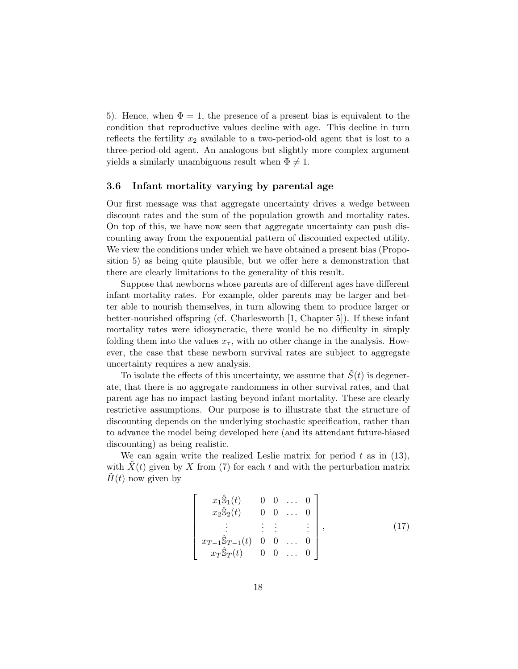5). Hence, when  $\Phi = 1$ , the presence of a present bias is equivalent to the condition that reproductive values decline with age. This decline in turn reflects the fertility  $x_2$  available to a two-period-old agent that is lost to a three-period-old agent. An analogous but slightly more complex argument yields a similarly unambiguous result when  $\Phi \neq 1$ .

## 3.6 Infant mortality varying by parental age

Our first message was that aggregate uncertainty drives a wedge between discount rates and the sum of the population growth and mortality rates. On top of this, we have now seen that aggregate uncertainty can push discounting away from the exponential pattern of discounted expected utility. We view the conditions under which we have obtained a present bias (Proposition 5) as being quite plausible, but we offer here a demonstration that there are clearly limitations to the generality of this result.

Suppose that newborns whose parents are of different ages have different infant mortality rates. For example, older parents may be larger and better able to nourish themselves, in turn allowing them to produce larger or better-nourished offspring (cf. Charlesworth [1, Chapter 5]). If these infant mortality rates were idiosyncratic, there would be no difficulty in simply folding them into the values  $x_{\tau}$ , with no other change in the analysis. However, the case that these newborn survival rates are subject to aggregate uncertainty requires a new analysis.

To isolate the effects of this uncertainty, we assume that  $S(t)$  is degenerate, that there is no aggregate randomness in other survival rates, and that parent age has no impact lasting beyond infant mortality. These are clearly restrictive assumptions. Our purpose is to illustrate that the structure of discounting depends on the underlying stochastic specification, rather than to advance the model being developed here (and its attendant future-biased discounting) as being realistic.

We can again write the realized Leslie matrix for period  $t$  as in (13), with  $X(t)$  given by X from (7) for each t and with the perturbation matrix  $H(t)$  now given by

$$
\begin{bmatrix}\nx_1\hat{\mathbb{S}}_1(t) & 0 & 0 & \dots & 0 \\
x_2\hat{\mathbb{S}}_2(t) & 0 & 0 & \dots & 0 \\
\vdots & \vdots & \vdots & \vdots & \vdots \\
x_{T-1}\hat{\mathbb{S}}_{T-1}(t) & 0 & 0 & \dots & 0 \\
x_T\hat{\mathbb{S}}_T(t) & 0 & 0 & \dots & 0\n\end{bmatrix},
$$
\n(17)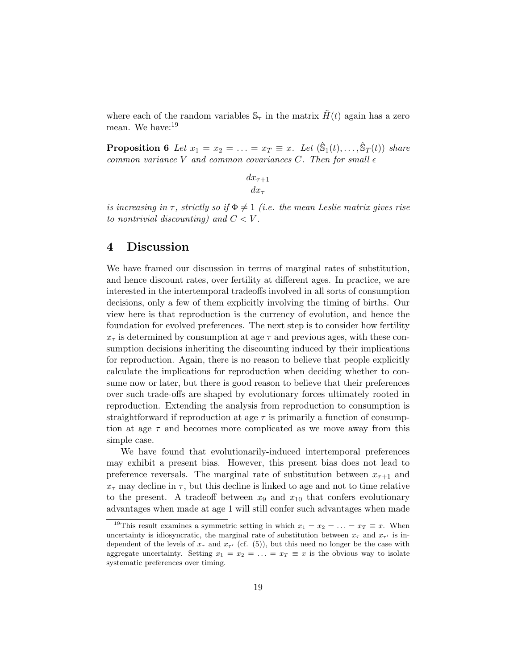where each of the random variables  $\mathcal{S}_{\tau}$  in the matrix  $H(t)$  again has a zero mean. We have:<sup>19</sup>

**Proposition 6** Let  $x_1 = x_2 = \ldots = x_T \equiv x$ . Let  $(\hat{S}_1(t), \ldots, \hat{S}_T(t))$  share common variance V and common covariances C. Then for small  $\epsilon$ 

$$
\frac{dx_{\tau+1}}{dx_{\tau}}
$$

is increasing in  $\tau$ , strictly so if  $\Phi \neq 1$  (i.e. the mean Leslie matrix gives rise to nontrivial discounting) and  $C < V$ .

## 4 Discussion

We have framed our discussion in terms of marginal rates of substitution, and hence discount rates, over fertility at different ages. In practice, we are interested in the intertemporal tradeoffs involved in all sorts of consumption decisions, only a few of them explicitly involving the timing of births. Our view here is that reproduction is the currency of evolution, and hence the foundation for evolved preferences. The next step is to consider how fertility  $x_{\tau}$  is determined by consumption at age  $\tau$  and previous ages, with these consumption decisions inheriting the discounting induced by their implications for reproduction. Again, there is no reason to believe that people explicitly calculate the implications for reproduction when deciding whether to consume now or later, but there is good reason to believe that their preferences over such trade-offs are shaped by evolutionary forces ultimately rooted in reproduction. Extending the analysis from reproduction to consumption is straightforward if reproduction at age  $\tau$  is primarily a function of consumption at age  $\tau$  and becomes more complicated as we move away from this simple case.

We have found that evolutionarily-induced intertemporal preferences may exhibit a present bias. However, this present bias does not lead to preference reversals. The marginal rate of substitution between  $x_{\tau+1}$  and  $x_{\tau}$  may decline in  $\tau$ , but this decline is linked to age and not to time relative to the present. A tradeoff between  $x_9$  and  $x_{10}$  that confers evolutionary advantages when made at age 1 will still confer such advantages when made

<sup>&</sup>lt;sup>19</sup>This result examines a symmetric setting in which  $x_1 = x_2 = \ldots = x_T \equiv x$ . When uncertainty is idiosyncratic, the marginal rate of substitution between  $x_{\tau}$  and  $x_{\tau'}$  is independent of the levels of  $x_{\tau}$  and  $x_{\tau'}$  (cf. (5)), but this need no longer be the case with aggregate uncertainty. Setting  $x_1 = x_2 = \ldots = x_T \equiv x$  is the obvious way to isolate systematic preferences over timing.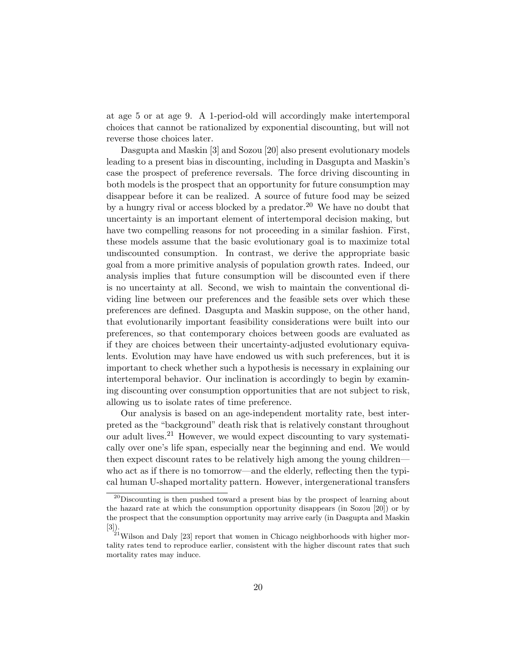at age 5 or at age 9. A 1-period-old will accordingly make intertemporal choices that cannot be rationalized by exponential discounting, but will not reverse those choices later.

Dasgupta and Maskin [3] and Sozou [20] also present evolutionary models leading to a present bias in discounting, including in Dasgupta and Maskin's case the prospect of preference reversals. The force driving discounting in both models is the prospect that an opportunity for future consumption may disappear before it can be realized. A source of future food may be seized by a hungry rival or access blocked by a predator.<sup>20</sup> We have no doubt that uncertainty is an important element of intertemporal decision making, but have two compelling reasons for not proceeding in a similar fashion. First, these models assume that the basic evolutionary goal is to maximize total undiscounted consumption. In contrast, we derive the appropriate basic goal from a more primitive analysis of population growth rates. Indeed, our analysis implies that future consumption will be discounted even if there is no uncertainty at all. Second, we wish to maintain the conventional dividing line between our preferences and the feasible sets over which these preferences are defined. Dasgupta and Maskin suppose, on the other hand, that evolutionarily important feasibility considerations were built into our preferences, so that contemporary choices between goods are evaluated as if they are choices between their uncertainty-adjusted evolutionary equivalents. Evolution may have have endowed us with such preferences, but it is important to check whether such a hypothesis is necessary in explaining our intertemporal behavior. Our inclination is accordingly to begin by examining discounting over consumption opportunities that are not subject to risk, allowing us to isolate rates of time preference.

Our analysis is based on an age-independent mortality rate, best interpreted as the "background" death risk that is relatively constant throughout our adult lives.<sup>21</sup> However, we would expect discounting to vary systematically over one's life span, especially near the beginning and end. We would then expect discount rates to be relatively high among the young children who act as if there is no tomorrow—and the elderly, reflecting then the typical human U-shaped mortality pattern. However, intergenerational transfers

<sup>20</sup>Discounting is then pushed toward a present bias by the prospect of learning about the hazard rate at which the consumption opportunity disappears (in Sozou [20]) or by the prospect that the consumption opportunity may arrive early (in Dasgupta and Maskin [3]).

 $^{21}$ Wilson and Daly [23] report that women in Chicago neighborhoods with higher mortality rates tend to reproduce earlier, consistent with the higher discount rates that such mortality rates may induce.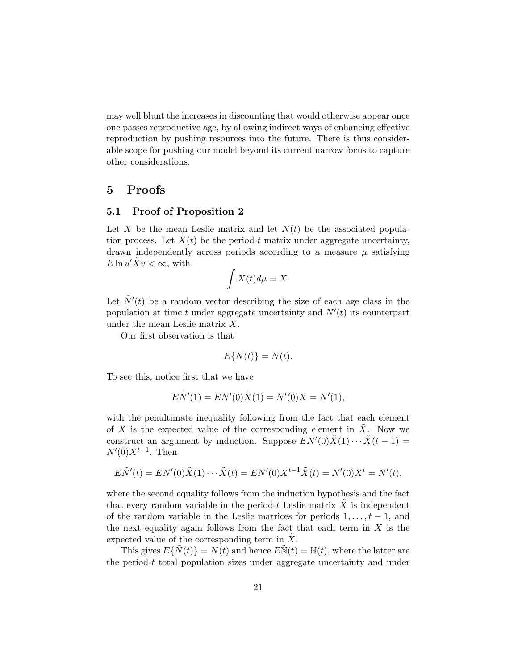may well blunt the increases in discounting that would otherwise appear once one passes reproductive age, by allowing indirect ways of enhancing effective reproduction by pushing resources into the future. There is thus considerable scope for pushing our model beyond its current narrow focus to capture other considerations.

## 5 Proofs

### 5.1 Proof of Proposition 2

Let X be the mean Leslie matrix and let  $N(t)$  be the associated population process. Let  $\tilde{X}(t)$  be the period-t matrix under aggregate uncertainty, drawn independently across periods according to a measure  $\mu$  satisfying  $E \ln u' \tilde{X} v < \infty$ , with

$$
\int \tilde{X}(t)d\mu=X.
$$

Let  $\tilde{N}'(t)$  be a random vector describing the size of each age class in the population at time t under aggregate uncertainty and  $N'(t)$  its counterpart under the mean Leslie matrix  $X$ .

Our first observation is that

$$
E\{\tilde{N}(t)\} = N(t).
$$

To see this, notice first that we have

$$
E\tilde{N}'(1) = EN'(0)\tilde{X}(1) = N'(0)X = N'(1),
$$

with the penultimate inequality following from the fact that each element of X is the expected value of the corresponding element in  $\tilde{X}$ . Now we construct an argument by induction. Suppose  $EN'(0)\tilde{X}(1)\cdots\tilde{X}(t-1) =$  $N'(0)X^{t-1}$ . Then

$$
E\tilde{N}'(t) = EN'(0)\tilde{X}(1)\cdots\tilde{X}(t) = EN'(0)X^{t-1}\tilde{X}(t) = N'(0)X^t = N'(t),
$$

where the second equality follows from the induction hypothesis and the fact that every random variable in the period- $t$  Leslie matrix  $X$  is independent of the random variable in the Leslie matrices for periods  $1, \ldots, t - 1$ , and the next equality again follows from the fact that each term in  $X$  is the expected value of the corresponding term in  $\overline{X}$ .

This gives  $E\{N(t)\}=N(t)$  and hence  $E\mathbb{N}(t)=\mathbb{N}(t)$ , where the latter are the period- $t$  total population sizes under aggregate uncertainty and under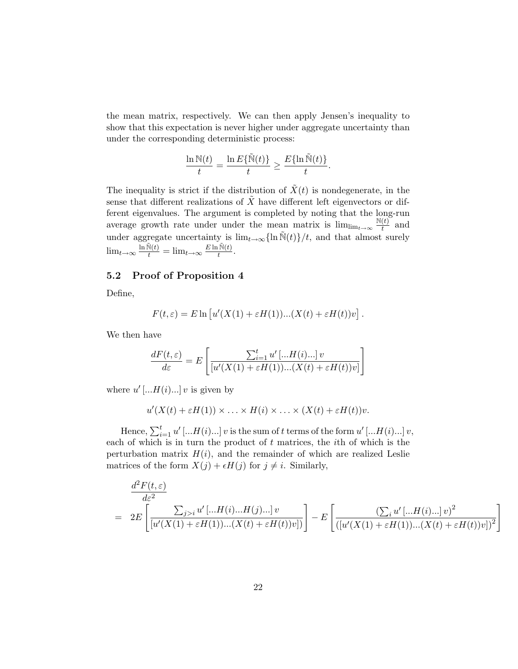the mean matrix, respectively. We can then apply Jensen's inequality to show that this expectation is never higher under aggregate uncertainty than under the corresponding deterministic process:

$$
\frac{\ln \mathbb{N}(t)}{t} = \frac{\ln E\{\tilde{\mathbb{N}}(t)\}}{t} \ge \frac{E\{\ln \tilde{\mathbb{N}}(t)\}}{t}.
$$

The inequality is strict if the distribution of  $\tilde{X}(t)$  is nondegenerate, in the sense that different realizations of  $X$  have different left eigenvectors or different eigenvalues. The argument is completed by noting that the long-run average growth rate under under the mean matrix is  $\lim_{t\to\infty} \frac{\mathbb{N}(t)}{t}$  $\frac{u}{t}$  and under aggregate uncertainty is  $\lim_{t\to\infty} {\ln \tilde{N}(t)}/t$ , and that almost surely  $\lim_{t\to\infty} \frac{\ln \tilde{N}(t)}{t} = \lim_{t\to\infty} \frac{E \ln \tilde{N}(t)}{t}$  $\frac{1\mathbb{N}(t)}{t}$ .

## 5.2 Proof of Proposition 4

Define,

$$
F(t,\varepsilon) = E \ln \left[ u'(X(1) + \varepsilon H(1)) \dots (X(t) + \varepsilon H(t)) v \right].
$$

We then have

$$
\frac{dF(t,\varepsilon)}{d\varepsilon} = E\left[\frac{\sum_{i=1}^t u'\left[...H(i)...\right]v}{\left[u'(X(1) + \varepsilon H(1))... (X(t) + \varepsilon H(t))v\right]}\right]
$$

where  $u'$  [...  $H(i)$ ...] v is given by

$$
u'(X(t) + \varepsilon H(1)) \times \ldots \times H(i) \times \ldots \times (X(t) + \varepsilon H(t))v.
$$

Hence,  $\sum_{i=1}^t u'$  [... $H(i)$ ...] v is the sum of t terms of the form  $u'$  [... $H(i)$ ...] v, each of which is in turn the product of  $t$  matrices, the *i*th of which is the perturbation matrix  $H(i)$ , and the remainder of which are realized Leslie matrices of the form  $X(j) + \epsilon H(j)$  for  $j \neq i$ . Similarly,

$$
\frac{d^2F(t,\varepsilon)}{d\varepsilon^2} = 2E\left[\frac{\sum_{j>i} u'\left[...H(i)...H(j)...]v}{[u'(X(1)+\varepsilon H(1))...(X(t)+\varepsilon H(t))v]}\right] - E\left[\frac{(\sum_{i} u'\left[...H(i)...]v\right)^2}{([u'(X(1)+\varepsilon H(1))...(X(t)+\varepsilon H(t))v])^2}\right]\right]
$$

1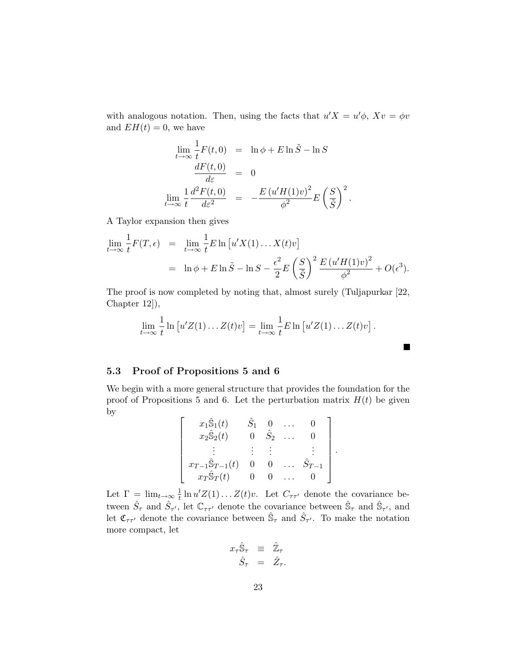with analogous notation. Then, using the facts that  $u'X = u'\phi$ ,  $Xv = \phi v$ and  $EH(t) = 0$ , we have

$$
\lim_{t \to \infty} \frac{1}{t} F(t,0) = \ln \phi + E \ln \tilde{S} - \ln S
$$
\n
$$
\frac{dF(t,0)}{d\varepsilon} = 0
$$
\n
$$
\lim_{t \to \infty} \frac{1}{t} \frac{d^2 F(t,0)}{d\varepsilon^2} = -\frac{E (u'H(1)v)^2}{\phi^2} E \left(\frac{S}{\tilde{S}}\right)^2.
$$

A Taylor expansion then gives

$$
\lim_{t \to \infty} \frac{1}{t} F(T, \epsilon) = \lim_{t \to \infty} \frac{1}{t} E \ln \left[ u'X(1) \dots X(t)v \right]
$$
  
=  $\ln \phi + E \ln \tilde{S} - \ln S - \frac{\epsilon^2}{2} E \left( \frac{S}{\tilde{S}} \right)^2 \frac{E (u'H(1)v)^2}{\phi^2} + O(\epsilon^3).$ 

The proof is now completed by noting that, almost surely (Tuljapurkar [22, Chapter 12]),

$$
\lim_{t \to \infty} \frac{1}{t} \ln \left[ u'Z(1) \dots Z(t)v \right] = \lim_{t \to \infty} \frac{1}{t} E \ln \left[ u'Z(1) \dots Z(t)v \right].
$$

## 5.3 Proof of Propositions 5 and 6

We begin with a more general structure that provides the foundation for the proof of Propositions 5 and 6. Let the perturbation matrix  $H(t)$  be given by

$$
\begin{bmatrix}\nx_1\hat{S}_1(t) & \hat{S}_1 & 0 & \dots & 0 \\
x_2\hat{S}_2(t) & 0 & \hat{S}_2 & \dots & 0 \\
\vdots & \vdots & \vdots & & \vdots \\
x_{T-1}\hat{S}_{T-1}(t) & 0 & 0 & \dots & \hat{S}_{T-1} \\
x_T\hat{S}_T(t) & 0 & 0 & \dots & 0\n\end{bmatrix}
$$

.

■

Let  $\Gamma = \lim_{t \to \infty} \frac{1}{t}$  $\frac{1}{t} \ln u' Z(1) \ldots Z(t) v$ . Let  $C_{\tau \tau'}$  denote the covariance between  $\hat{S}_{\tau}$  and  $\hat{S}_{\tau'}$ , let  $\mathbb{C}_{\tau\tau'}$  denote the covariance between  $\hat{S}_{\tau}$  and  $\hat{S}_{\tau'}$ , and let  $\mathfrak{C}_{\tau\tau'}$  denote the covariance between  $\hat{\mathbb{S}}_{\tau}$  and  $\hat{S}_{\tau'}$ . To make the notation more compact, let

$$
\begin{array}{rcl} x_\tau \hat{\mathbb{S}}_\tau & \equiv & \hat{\mathbb{Z}}_\tau \\ & \hat{S}_\tau & = & \hat{Z}_\tau. \end{array}
$$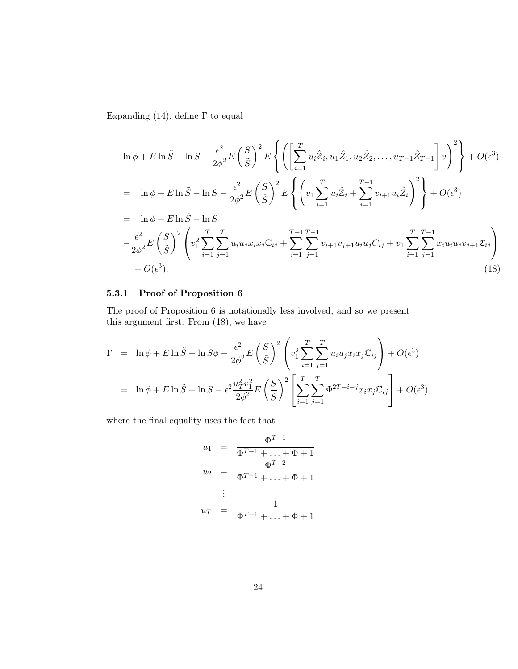Expanding (14), define  $\Gamma$  to equal

$$
\ln \phi + E \ln \tilde{S} - \ln S - \frac{\epsilon^2}{2\phi^2} E \left( \frac{S}{\tilde{S}} \right)^2 E \left\{ \left( \left[ \sum_{i=1}^T u_i \tilde{Z}_i, u_1 \hat{Z}_1, u_2 \hat{Z}_2, \dots, u_{T-1} \hat{Z}_{T-1} \right] v \right)^2 \right\} + O(\epsilon^3)
$$
  
\n
$$
= \ln \phi + E \ln \tilde{S} - \ln S - \frac{\epsilon^2}{2\phi^2} E \left( \frac{S}{\tilde{S}} \right)^2 E \left\{ \left( v_1 \sum_{i=1}^T u_i \tilde{Z}_i + \sum_{i=1}^{T-1} v_{i+1} u_i \hat{Z}_i \right)^2 \right\} + O(\epsilon^3)
$$
  
\n
$$
= \ln \phi + E \ln \tilde{S} - \ln S
$$
  
\n
$$
- \frac{\epsilon^2}{2\phi^2} E \left( \frac{S}{\tilde{S}} \right)^2 \left( v_1^2 \sum_{i=1}^T \sum_{j=1}^T u_i u_j x_i x_j C_{ij} + \sum_{i=1}^{T-1} \sum_{j=1}^{T-1} v_{i+1} v_{j+1} u_i u_j C_{ij} + v_1 \sum_{i=1}^T \sum_{j=1}^{T-1} x_i u_i u_j v_{j+1} \mathfrak{e}_{ij} \right)
$$
  
\n
$$
+ O(\epsilon^3).
$$
 (18)

## 5.3.1 Proof of Proposition 6

The proof of Proposition 6 is notationally less involved, and so we present this argument first. From (18), we have

$$
\Gamma = \ln \phi + E \ln \tilde{S} - \ln S \phi - \frac{\epsilon^2}{2\phi^2} E \left( \frac{S}{\tilde{S}} \right)^2 \left( v_1^2 \sum_{i=1}^T \sum_{j=1}^T u_i u_j x_i x_j \mathbb{C}_{ij} \right) + O(\epsilon^3)
$$
  
=  $\ln \phi + E \ln \tilde{S} - \ln S - \epsilon^2 \frac{u_T^2 v_1^2}{2\phi^2} E \left( \frac{S}{\tilde{S}} \right)^2 \left[ \sum_{i=1}^T \sum_{j=1}^T \Phi^{2T-i-j} x_i x_j \mathbb{C}_{ij} \right] + O(\epsilon^3),$ 

where the final equality uses the fact that

$$
u_1 = \frac{\Phi^{T-1}}{\Phi^{T-1} + \dots + \Phi + 1}
$$
  
\n
$$
u_2 = \frac{\Phi^{T-2}}{\Phi^{T-1} + \dots + \Phi + 1}
$$
  
\n
$$
\vdots
$$
  
\n
$$
u_T = \frac{1}{\Phi^{T-1} + \dots + \Phi + 1}
$$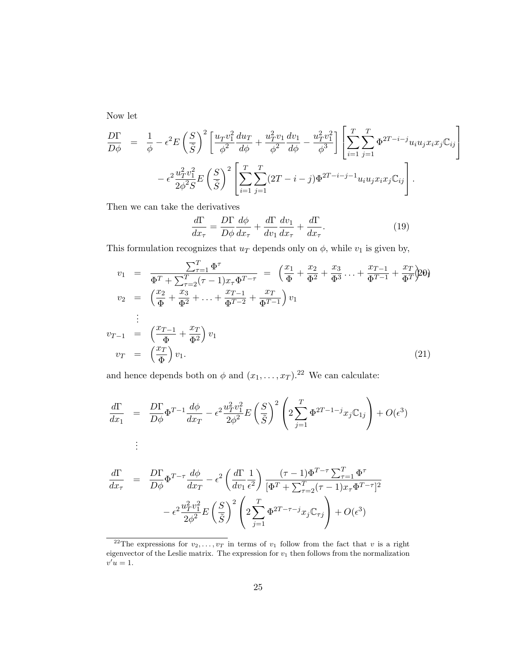Now let

$$
\frac{D\Gamma}{D\phi} = \frac{1}{\phi} - \epsilon^2 E \left(\frac{S}{\tilde{S}}\right)^2 \left[ \frac{u_T v_1^2}{\phi^2} \frac{du_T}{d\phi} + \frac{u_T^2 v_1}{\phi^2} \frac{dv_1}{d\phi} - \frac{u_T^2 v_1^2}{\phi^3} \right] \left[ \sum_{i=1}^T \sum_{j=1}^T \Phi^{2T-i-j} u_i u_j x_i x_j \mathbb{C}_{ij} \right] \n- \epsilon^2 \frac{u_T^2 v_1^2}{2\phi^2 S} E \left(\frac{S}{\tilde{S}}\right)^2 \left[ \sum_{i=1}^T \sum_{j=1}^T (2T-i-j) \Phi^{2T-i-j-1} u_i u_j x_i x_j \mathbb{C}_{ij} \right].
$$

Then we can take the derivatives

$$
\frac{d\Gamma}{dx_{\tau}} = \frac{D\Gamma}{D\phi} \frac{d\phi}{dx_{\tau}} + \frac{d\Gamma}{dv_1} \frac{dv_1}{dx_{\tau}} + \frac{d\Gamma}{dx_{\tau}}.
$$
\n(19)

This formulation recognizes that  $u_T$  depends only on  $\phi$ , while  $v_1$  is given by,

$$
v_1 = \frac{\sum_{\tau=1}^T \Phi^{\tau}}{\Phi^T + \sum_{\tau=2}^T (\tau - 1) x_{\tau} \Phi^{T - \tau}} = \left(\frac{x_1}{\Phi} + \frac{x_2}{\Phi^2} + \frac{x_3}{\Phi^3} + \dots + \frac{x_{T-1}}{\Phi^{T-1}} + \frac{x_T}{\Phi^T}\right) v_1
$$
  
\n
$$
v_2 = \left(\frac{x_2}{\Phi} + \frac{x_3}{\Phi^2} + \dots + \frac{x_{T-1}}{\Phi^{T-2}} + \frac{x_T}{\Phi^{T-1}}\right) v_1
$$
  
\n
$$
\vdots
$$
  
\n
$$
v_{T-1} = \left(\frac{x_{T-1}}{\Phi} + \frac{x_T}{\Phi^2}\right) v_1
$$
  
\n
$$
v_T = \left(\frac{x_T}{\Phi}\right) v_1.
$$
  
\n(21)

and hence depends both on  $\phi$  and  $(x_1, \ldots, x_T)$ .<sup>22</sup> We can calculate:

$$
\frac{d\Gamma}{dx_1} = \frac{D\Gamma}{D\phi} \Phi^{T-1} \frac{d\phi}{dx_T} - \epsilon^2 \frac{u_T^2 v_1^2}{2\phi^2} E\left(\frac{S}{\tilde{S}}\right)^2 \left(2 \sum_{j=1}^T \Phi^{2T-1-j} x_j \mathbb{C}_{1j}\right) + O(\epsilon^3)
$$
\n
$$
\vdots
$$

$$
\frac{d\Gamma}{dx_{\tau}} = \frac{D\Gamma}{D\phi} \Phi^{T-\tau} \frac{d\phi}{dx_T} - \epsilon^2 \left(\frac{d\Gamma}{dv_1} \frac{1}{\epsilon^2}\right) \frac{(\tau - 1)\Phi^{T-\tau} \sum_{\tau=1}^T \Phi^{\tau}}{[\Phi^T + \sum_{\tau=2}^T (\tau - 1)x_{\tau} \Phi^{T-\tau}]^2}
$$

$$
- \epsilon^2 \frac{u_T^2 v_1^2}{2\phi^2} E\left(\frac{S}{\tilde{S}}\right)^2 \left(2 \sum_{j=1}^T \Phi^{2T-\tau-j} x_j \mathbb{C}_{\tau j}\right) + O(\epsilon^3)
$$

<sup>&</sup>lt;sup>22</sup>The expressions for  $v_2, \ldots, v_T$  in terms of  $v_1$  follow from the fact that v is a right eigenvector of the Leslie matrix. The expression for  $v_1$  then follows from the normalization  $v'u=1.$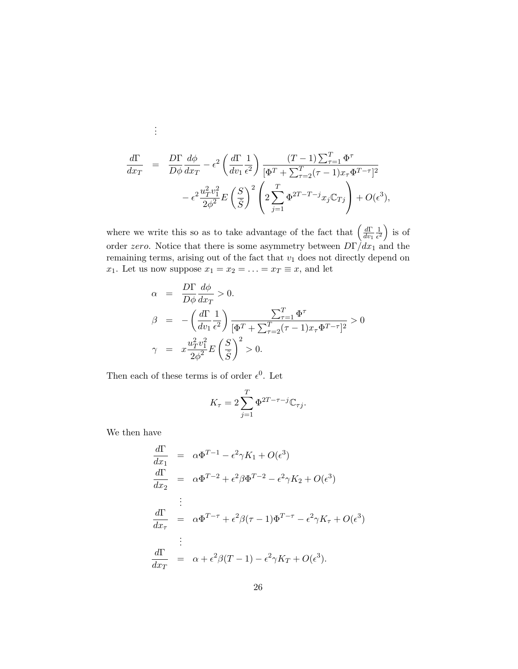$$
\frac{d\Gamma}{dx_T} = \frac{D\Gamma}{D\phi} \frac{d\phi}{dx_T} - \epsilon^2 \left(\frac{d\Gamma}{dv_1} \frac{1}{\epsilon^2}\right) \frac{(T-1)\sum_{\tau=1}^T \Phi^{\tau}}{[\Phi^T + \sum_{\tau=2}^T (\tau-1)x_{\tau} \Phi^{T-\tau}]^2} \n- \epsilon^2 \frac{u_T^2 v_1^2}{2\phi^2} E\left(\frac{S}{\tilde{S}}\right)^2 \left(2\sum_{j=1}^T \Phi^{2T-T-j} x_j \mathbb{C}_{Tj}\right) + O(\epsilon^3),
$$

where we write this so as to take advantage of the fact that  $\left(\frac{d\Gamma}{dw}\right)$  $dv_1$ 1  $\frac{1}{\epsilon^2}$  is of order zero. Notice that there is some asymmetry between  $D\Gamma/dx_1$  and the remaining terms, arising out of the fact that  $v_1$  does not directly depend on  $x_1$ . Let us now suppose  $x_1 = x_2 = \ldots = x_T \equiv x$ , and let

$$
\alpha = \frac{D\Gamma}{D\phi} \frac{d\phi}{dx_T} > 0.
$$
  
\n
$$
\beta = -\left(\frac{d\Gamma}{dv_1} \frac{1}{\epsilon^2}\right) \frac{\sum_{\tau=1}^T \Phi^{\tau}}{[\Phi^T + \sum_{\tau=2}^T (\tau - 1) x_{\tau} \Phi^{T-\tau}]^2} > 0
$$
  
\n
$$
\gamma = x \frac{u_T^2 v_1^2}{2\phi^2} E\left(\frac{S}{\tilde{S}}\right)^2 > 0.
$$

Then each of these terms is of order  $\epsilon^0$ . Let

$$
K_{\tau} = 2\sum_{j=1}^{T} \Phi^{2T-\tau-j} \mathbb{C}_{\tau j}.
$$

We then have

. . .

$$
\frac{d\Gamma}{dx_1} = \alpha \Phi^{T-1} - \epsilon^2 \gamma K_1 + O(\epsilon^3)
$$
\n
$$
\frac{d\Gamma}{dx_2} = \alpha \Phi^{T-2} + \epsilon^2 \beta \Phi^{T-2} - \epsilon^2 \gamma K_2 + O(\epsilon^3)
$$
\n
$$
\vdots
$$
\n
$$
\frac{d\Gamma}{dx_\tau} = \alpha \Phi^{T-\tau} + \epsilon^2 \beta (\tau - 1) \Phi^{T-\tau} - \epsilon^2 \gamma K_\tau + O(\epsilon^3)
$$
\n
$$
\vdots
$$
\n
$$
\frac{d\Gamma}{dx_T} = \alpha + \epsilon^2 \beta (T - 1) - \epsilon^2 \gamma K_T + O(\epsilon^3).
$$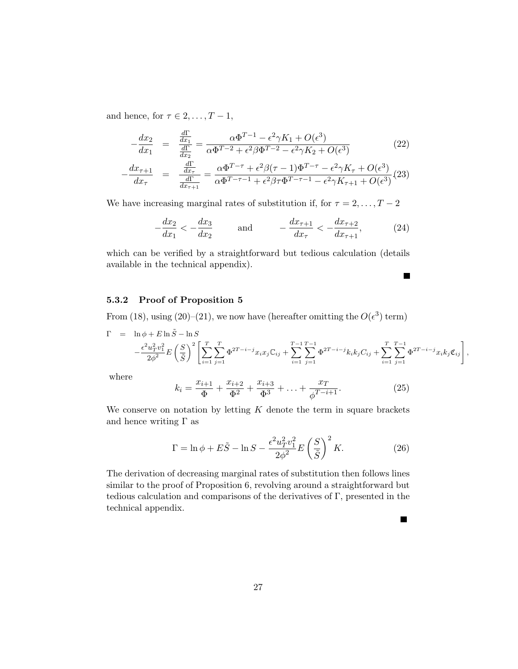and hence, for  $\tau \in 2, \ldots, T-1$ ,

$$
-\frac{dx_2}{dx_1} = \frac{\frac{d\Gamma}{dx_1}}{\frac{d\Gamma}{dx_2}} = \frac{\alpha \Phi^{T-1} - \epsilon^2 \gamma K_1 + O(\epsilon^3)}{\alpha \Phi^{T-2} + \epsilon^2 \beta \Phi^{T-2} - \epsilon^2 \gamma K_2 + O(\epsilon^3)}
$$
(22)  

$$
-\frac{dx_{\tau+1}}{dx_{\tau}} = \frac{\frac{d\Gamma}{dx_{\tau}}}{\frac{d\Gamma}{dx_{\tau+1}}} = \frac{\alpha \Phi^{T-\tau} + \epsilon^2 \beta (\tau - 1) \Phi^{T-\tau} - \epsilon^2 \gamma K_{\tau} + O(\epsilon^3)}{\alpha \Phi^{T-\tau-1} + \epsilon^2 \beta \tau \Phi^{T-\tau-1} - \epsilon^2 \gamma K_{\tau+1} + O(\epsilon^3)}
$$
(23)

We have increasing marginal rates of substitution if, for  $\tau = 2, \ldots, T - 2$ 

$$
-\frac{dx_2}{dx_1} < -\frac{dx_3}{dx_2} \quad \text{and} \quad -\frac{dx_{\tau+1}}{dx_{\tau}} < -\frac{dx_{\tau+2}}{dx_{\tau+1}}, \quad (24)
$$

which can be verified by a straightforward but tedious calculation (details available in the technical appendix).

## 5.3.2 Proof of Proposition 5

From (18), using (20)–(21), we now have (hereafter omitting the  $O(\epsilon^3)$  term)

$$
\Gamma = \ln \phi + E \ln \tilde{S} - \ln S \n- \frac{\epsilon^2 u_T^2 v_1^2}{2\phi^2} E \left( \frac{S}{\tilde{S}} \right)^2 \left[ \sum_{i=1}^T \sum_{j=1}^T \Phi^{2T-i-j} x_i x_j C_{ij} + \sum_{i=1}^{T-1} \sum_{j=1}^{T-1} \Phi^{2T-i-j} k_i k_j C_{ij} + \sum_{i=1}^T \sum_{j=1}^{T-1} \Phi^{2T-i-j} x_i k_j \mathfrak{C}_{ij} \right],
$$

 $\blacksquare$ 

П

where

$$
k_i = \frac{x_{i+1}}{\Phi} + \frac{x_{i+2}}{\Phi^2} + \frac{x_{i+3}}{\Phi^3} + \ldots + \frac{x_T}{\phi^{T-i+1}}.
$$
 (25)

We conserve on notation by letting  $K$  denote the term in square brackets and hence writing  $\Gamma$  as

$$
\Gamma = \ln \phi + E\tilde{S} - \ln S - \frac{\epsilon^2 u_T^2 v_1^2}{2\phi^2} E\left(\frac{S}{\tilde{S}}\right)^2 K.
$$
 (26)

The derivation of decreasing marginal rates of substitution then follows lines similar to the proof of Proposition 6, revolving around a straightforward but tedious calculation and comparisons of the derivatives of Γ, presented in the technical appendix.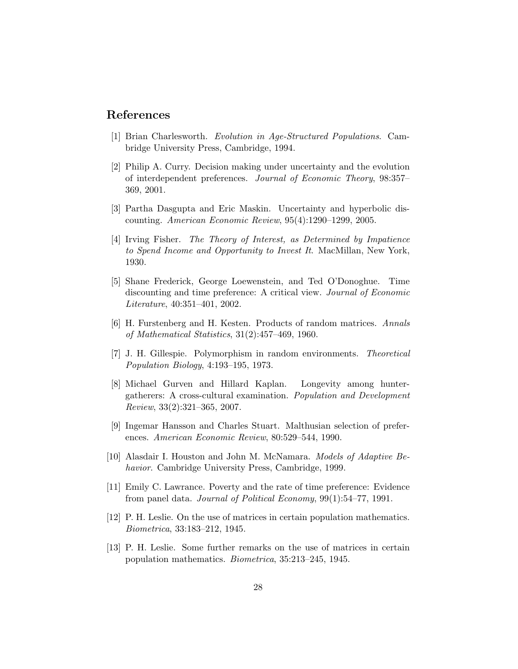## References

- [1] Brian Charlesworth. Evolution in Age-Structured Populations. Cambridge University Press, Cambridge, 1994.
- [2] Philip A. Curry. Decision making under uncertainty and the evolution of interdependent preferences. Journal of Economic Theory, 98:357– 369, 2001.
- [3] Partha Dasgupta and Eric Maskin. Uncertainty and hyperbolic discounting. American Economic Review, 95(4):1290–1299, 2005.
- [4] Irving Fisher. The Theory of Interest, as Determined by Impatience to Spend Income and Opportunity to Invest It. MacMillan, New York, 1930.
- [5] Shane Frederick, George Loewenstein, and Ted O'Donoghue. Time discounting and time preference: A critical view. Journal of Economic Literature, 40:351–401, 2002.
- [6] H. Furstenberg and H. Kesten. Products of random matrices. Annals of Mathematical Statistics, 31(2):457–469, 1960.
- [7] J. H. Gillespie. Polymorphism in random environments. Theoretical Population Biology, 4:193–195, 1973.
- [8] Michael Gurven and Hillard Kaplan. Longevity among huntergatherers: A cross-cultural examination. Population and Development Review, 33(2):321–365, 2007.
- [9] Ingemar Hansson and Charles Stuart. Malthusian selection of preferences. American Economic Review, 80:529–544, 1990.
- [10] Alasdair I. Houston and John M. McNamara. Models of Adaptive Behavior. Cambridge University Press, Cambridge, 1999.
- [11] Emily C. Lawrance. Poverty and the rate of time preference: Evidence from panel data. Journal of Political Economy, 99(1):54–77, 1991.
- [12] P. H. Leslie. On the use of matrices in certain population mathematics. Biometrica, 33:183–212, 1945.
- [13] P. H. Leslie. Some further remarks on the use of matrices in certain population mathematics. Biometrica, 35:213–245, 1945.